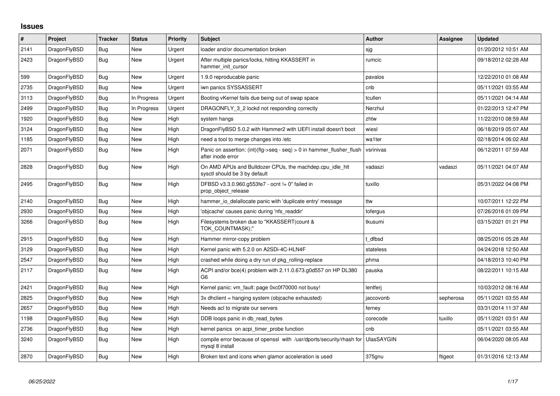## **Issues**

| $\vert$ # | <b>Project</b> | <b>Tracker</b> | <b>Status</b> | <b>Priority</b> | <b>Subject</b>                                                                             | <b>Author</b>     | Assignee  | <b>Updated</b>      |
|-----------|----------------|----------------|---------------|-----------------|--------------------------------------------------------------------------------------------|-------------------|-----------|---------------------|
| 2141      | DragonFlyBSD   | Bug            | <b>New</b>    | Urgent          | loader and/or documentation broken                                                         | sjg               |           | 01/20/2012 10:51 AM |
| 2423      | DragonFlyBSD   | <b>Bug</b>     | New           | Urgent          | After multiple panics/locks, hitting KKASSERT in<br>hammer init cursor                     | rumcic            |           | 09/18/2012 02:28 AM |
| 599       | DragonFlyBSD   | <b>Bug</b>     | New           | Urgent          | 1.9.0 reproducable panic                                                                   | pavalos           |           | 12/22/2010 01:08 AM |
| 2735      | DragonFlyBSD   | Bug            | <b>New</b>    | Urgent          | iwn panics SYSSASSERT                                                                      | cnb               |           | 05/11/2021 03:55 AM |
| 3113      | DragonFlyBSD   | Bug            | In Progress   | Urgent          | Booting vKernel fails due being out of swap space                                          | tcullen           |           | 05/11/2021 04:14 AM |
| 2499      | DragonFlyBSD   | Bug            | In Progress   | Urgent          | DRAGONFLY 3 2 lockd not responding correctly                                               | Nerzhul           |           | 01/22/2013 12:47 PM |
| 1920      | DragonFlyBSD   | Bug            | <b>New</b>    | High            | system hangs                                                                               | zhtw              |           | 11/22/2010 08:59 AM |
| 3124      | DragonFlyBSD   | Bug            | New           | High            | DragonFlyBSD 5.0.2 with Hammer2 with UEFI install doesn't boot                             | wiesl             |           | 06/18/2019 05:07 AM |
| 1185      | DragonFlyBSD   | <b>Bug</b>     | New           | High            | need a tool to merge changes into /etc                                                     | wa1ter            |           | 02/18/2014 06:02 AM |
| 2071      | DragonFlyBSD   | Bug            | New           | High            | Panic on assertion: (int)(flg->seq - seq) > 0 in hammer_flusher_flush<br>after inode error | vsrinivas         |           | 06/12/2011 07:59 AM |
| 2828      | DragonFlyBSD   | <b>Bug</b>     | <b>New</b>    | High            | On AMD APUs and Bulldozer CPUs, the machdep.cpu_idle_hlt<br>sysctl should be 3 by default  | vadaszi           | vadaszi   | 05/11/2021 04:07 AM |
| 2495      | DragonFlyBSD   | Bug            | New           | High            | DFBSD v3.3.0.960.g553fe7 - ocnt != 0" failed in<br>prop_object_release                     | tuxillo           |           | 05/31/2022 04:08 PM |
| 2140      | DragonFlyBSD   | Bug            | New           | High            | hammer io delallocate panic with 'duplicate entry' message                                 | ttw               |           | 10/07/2011 12:22 PM |
| 2930      | DragonFlyBSD   | <b>Bug</b>     | New           | High            | 'objcache' causes panic during 'nfs readdir'                                               | tofergus          |           | 07/26/2016 01:09 PM |
| 3266      | DragonFlyBSD   | Bug            | New           | High            | Filesystems broken due to "KKASSERT(count &<br>TOK_COUNTMASK);"                            | tkusumi           |           | 03/15/2021 01:21 PM |
| 2915      | DragonFlyBSD   | <b>Bug</b>     | New           | High            | Hammer mirror-copy problem                                                                 | dfbsd             |           | 08/25/2016 05:28 AM |
| 3129      | DragonFlyBSD   | Bug            | New           | High            | Kernel panic with 5.2.0 on A2SDi-4C-HLN4F                                                  | stateless         |           | 04/24/2018 12:50 AM |
| 2547      | DragonFlyBSD   | <b>Bug</b>     | New           | High            | crashed while doing a dry run of pkg rolling-replace                                       | phma              |           | 04/18/2013 10:40 PM |
| 2117      | DragonFlyBSD   | Bug            | New           | High            | ACPI and/or bce(4) problem with 2.11.0.673.g0d557 on HP DL380<br>G6                        | pauska            |           | 08/22/2011 10:15 AM |
| 2421      | DragonFlyBSD   | <b>Bug</b>     | New           | High            | Kernel panic: vm_fault: page 0xc0f70000 not busy!                                          | lentferj          |           | 10/03/2012 08:16 AM |
| 2825      | DragonFlyBSD   | Bug            | New           | High            | 3x dhclient = hanging system (objcache exhausted)                                          | jaccovonb         | sepherosa | 05/11/2021 03:55 AM |
| 2657      | DragonFlyBSD   | <b>Bug</b>     | New           | High            | Needs acl to migrate our servers                                                           | ferney            |           | 03/31/2014 11:37 AM |
| 1198      | DragonFlyBSD   | Bug            | New           | High            | DDB loops panic in db read bytes                                                           | corecode          | tuxillo   | 05/11/2021 03:51 AM |
| 2736      | DragonFlyBSD   | Bug            | New           | High            | kernel panics on acpi_timer_probe function                                                 | cnb               |           | 05/11/2021 03:55 AM |
| 3240      | DragonFlyBSD   | <b>Bug</b>     | New           | High            | compile error because of openssl with /usr/dports/security/rhash for<br>mysql 8 install    | <b>UlasSAYGIN</b> |           | 06/04/2020 08:05 AM |
| 2870      | DragonFlyBSD   | Bug            | New           | High            | Broken text and icons when glamor acceleration is used                                     | 375gnu            | ftigeot   | 01/31/2016 12:13 AM |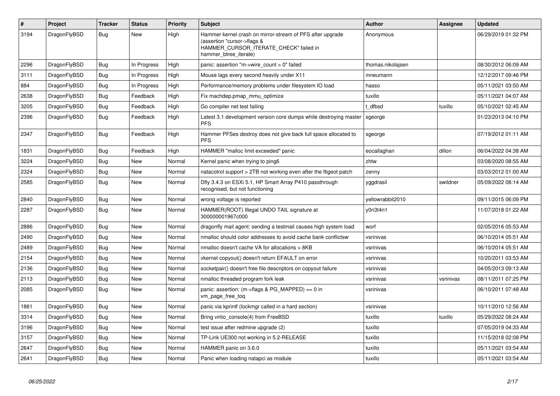| $\vert$ # | Project      | <b>Tracker</b> | <b>Status</b> | <b>Priority</b> | <b>Subject</b>                                                                                                                                              | <b>Author</b>     | Assignee  | <b>Updated</b>      |
|-----------|--------------|----------------|---------------|-----------------|-------------------------------------------------------------------------------------------------------------------------------------------------------------|-------------------|-----------|---------------------|
| 3194      | DragonFlyBSD | Bug            | <b>New</b>    | High            | Hammer kernel crash on mirror-stream of PFS after upgrade<br>(assertion "cursor->flags &<br>HAMMER_CURSOR_ITERATE_CHECK" failed in<br>hammer btree iterate) | Anonymous         |           | 06/29/2019 01:32 PM |
| 2296      | DragonFlyBSD | <b>Bug</b>     | In Progress   | High            | panic: assertion "m->wire_count > 0" failed                                                                                                                 | thomas.nikolajsen |           | 08/30/2012 06:09 AM |
| 3111      | DragonFlyBSD | Bug            | In Progress   | High            | Mouse lags every second heavily under X11                                                                                                                   | mneumann          |           | 12/12/2017 09:46 PM |
| 884       | DragonFlyBSD | <b>Bug</b>     | In Progress   | High            | Performance/memory problems under filesystem IO load                                                                                                        | hasso             |           | 05/11/2021 03:50 AM |
| 2638      | DragonFlyBSD | <b>Bug</b>     | Feedback      | High            | Fix machdep.pmap_mmu_optimize                                                                                                                               | tuxillo           |           | 05/11/2021 04:07 AM |
| 3205      | DragonFlyBSD | Bug            | Feedback      | High            | Go compiler net test failing                                                                                                                                | t dfbsd           | tuxillo   | 05/10/2021 02:45 AM |
| 2396      | DragonFlyBSD | <b>Bug</b>     | Feedback      | High            | Latest 3.1 development version core dumps while destroying master<br><b>PFS</b>                                                                             | sgeorge           |           | 01/23/2013 04:10 PM |
| 2347      | DragonFlyBSD | Bug            | Feedback      | High            | Hammer PFSes destroy does not give back full space allocated to<br><b>PFS</b>                                                                               | sgeorge           |           | 07/19/2012 01:11 AM |
| 1831      | DragonFlyBSD | Bug            | Feedback      | High            | HAMMER "malloc limit exceeded" panic                                                                                                                        | eocallaghan       | dillon    | 06/04/2022 04:38 AM |
| 3224      | DragonFlyBSD | Bug            | New           | Normal          | Kernel panic when trying to ping6                                                                                                                           | zhtw              |           | 03/08/2020 08:55 AM |
| 2324      | DragonFlyBSD | Bug            | <b>New</b>    | Normal          | natacotrol support > 2TB not working even after the ftigeot patch                                                                                           | zenny             |           | 03/03/2012 01:00 AM |
| 2585      | DragonFlyBSD | Bug            | <b>New</b>    | Normal          | Dfly 3.4.3 on ESXi 5.1, HP Smart Array P410 passthrough<br>recognised, but not functioning                                                                  | yggdrasil         | swildner  | 05/09/2022 08:14 AM |
| 2840      | DragonFlyBSD | <b>Bug</b>     | New           | Normal          | wrong voltage is reported                                                                                                                                   | vellowrabbit2010  |           | 09/11/2015 06:09 PM |
| 2287      | DragonFlyBSD | Bug            | New           | Normal          | HAMMER(ROOT) Illegal UNDO TAIL signature at<br>300000001967c000                                                                                             | v0n3t4n1          |           | 11/07/2018 01:22 AM |
| 2886      | DragonFlyBSD | <b>Bug</b>     | New           | Normal          | dragonfly mail agent: sending a testmail causes high system load                                                                                            | worf              |           | 02/05/2016 05:53 AM |
| 2490      | DragonFlyBSD | <b>Bug</b>     | New           | Normal          | nmalloc should color addresses to avoid cache bank conflictsw                                                                                               | vsrinivas         |           | 06/10/2014 05:51 AM |
| 2489      | DragonFlyBSD | <b>Bug</b>     | New           | Normal          | nmalloc doesn't cache VA for allocations > 8KB                                                                                                              | vsrinivas         |           | 06/10/2014 05:51 AM |
| 2154      | DragonFlyBSD | <b>Bug</b>     | New           | Normal          | vkernel copyout() doesn't return EFAULT on error                                                                                                            | vsrinivas         |           | 10/20/2011 03:53 AM |
| 2136      | DragonFlyBSD | Bug            | New           | Normal          | socketpair() doesn't free file descriptors on copyout failure                                                                                               | vsrinivas         |           | 04/05/2013 09:13 AM |
| 2113      | DragonFlyBSD | <b>Bug</b>     | New           | Normal          | nmalloc threaded program fork leak                                                                                                                          | vsrinivas         | vsrinivas | 08/11/2011 07:25 PM |
| 2085      | DragonFlyBSD | <b>Bug</b>     | <b>New</b>    | Normal          | panic: assertion: (m->flags & PG_MAPPED) == 0 in<br>vm page free tog                                                                                        | vsrinivas         |           | 06/10/2011 07:48 AM |
| 1861      | DragonFlyBSD | <b>Bug</b>     | New           | Normal          | panic via kprintf (lockmgr called in a hard section)                                                                                                        | vsrinivas         |           | 10/11/2010 12:56 AM |
| 3314      | DragonFlyBSD | <b>Bug</b>     | New           | Normal          | Bring virtio_console(4) from FreeBSD                                                                                                                        | tuxillo           | tuxillo   | 05/29/2022 08:24 AM |
| 3196      | DragonFlyBSD | Bug            | New           | Normal          | test issue after redmine upgrade (2)                                                                                                                        | tuxillo           |           | 07/05/2019 04:33 AM |
| 3157      | DragonFlyBSD | Bug            | New           | Normal          | TP-Link UE300 not working in 5.2-RELEASE                                                                                                                    | tuxillo           |           | 11/15/2018 02:08 PM |
| 2647      | DragonFlyBSD | Bug            | New           | Normal          | HAMMER panic on 3.6.0                                                                                                                                       | tuxillo           |           | 05/11/2021 03:54 AM |
| 2641      | DragonFlyBSD | Bug            | New           | Normal          | Panic when loading natapci as module                                                                                                                        | tuxillo           |           | 05/11/2021 03:54 AM |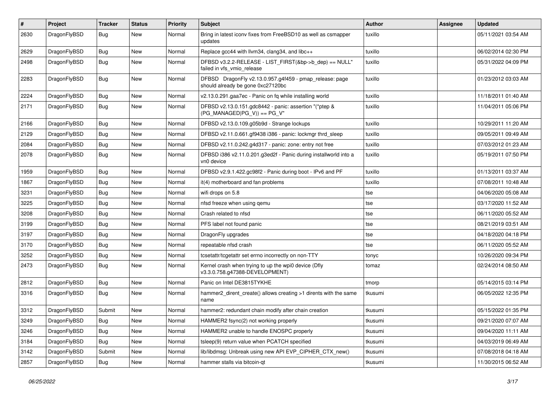| #    | Project      | <b>Tracker</b> | <b>Status</b> | <b>Priority</b> | Subject                                                                                      | <b>Author</b> | <b>Assignee</b> | <b>Updated</b>      |
|------|--------------|----------------|---------------|-----------------|----------------------------------------------------------------------------------------------|---------------|-----------------|---------------------|
| 2630 | DragonFlyBSD | Bug            | New           | Normal          | Bring in latest iconv fixes from FreeBSD10 as well as csmapper<br>updates                    | tuxillo       |                 | 05/11/2021 03:54 AM |
| 2629 | DragonFlyBSD | <b>Bug</b>     | <b>New</b>    | Normal          | Replace gcc44 with llvm34, clang34, and libc++                                               | tuxillo       |                 | 06/02/2014 02:30 PM |
| 2498 | DragonFlyBSD | <b>Bug</b>     | New           | Normal          | DFBSD v3.2.2-RELEASE - LIST_FIRST(&bp->b_dep) == NULL"<br>failed in vfs_vmio_release         | tuxillo       |                 | 05/31/2022 04:09 PM |
| 2283 | DragonFlyBSD | Bug            | New           | Normal          | DFBSD DragonFly v2.13.0.957.g4f459 - pmap_release: page<br>should already be gone 0xc27120bc | tuxillo       |                 | 01/23/2012 03:03 AM |
| 2224 | DragonFlyBSD | Bug            | New           | Normal          | v2.13.0.291.gaa7ec - Panic on fq while installing world                                      | tuxillo       |                 | 11/18/2011 01:40 AM |
| 2171 | DragonFlyBSD | <b>Bug</b>     | <b>New</b>    | Normal          | DFBSD v2.13.0.151.gdc8442 - panic: assertion "(*ptep &<br>$(PG MANAGED PG V)) == PG V"$      | tuxillo       |                 | 11/04/2011 05:06 PM |
| 2166 | DragonFlyBSD | <b>Bug</b>     | New           | Normal          | DFBSD v2.13.0.109.g05b9d - Strange lockups                                                   | tuxillo       |                 | 10/29/2011 11:20 AM |
| 2129 | DragonFlyBSD | <b>Bug</b>     | New           | Normal          | DFBSD v2.11.0.661.gf9438 i386 - panic: lockmgr thrd_sleep                                    | tuxillo       |                 | 09/05/2011 09:49 AM |
| 2084 | DragonFlyBSD | Bug            | <b>New</b>    | Normal          | DFBSD v2.11.0.242.g4d317 - panic: zone: entry not free                                       | tuxillo       |                 | 07/03/2012 01:23 AM |
| 2078 | DragonFlyBSD | <b>Bug</b>     | New           | Normal          | DFBSD i386 v2.11.0.201.g3ed2f - Panic during installworld into a<br>vn0 device               | tuxillo       |                 | 05/19/2011 07:50 PM |
| 1959 | DragonFlyBSD | Bug            | New           | Normal          | DFBSD v2.9.1.422.gc98f2 - Panic during boot - IPv6 and PF                                    | tuxillo       |                 | 01/13/2011 03:37 AM |
| 1867 | DragonFlyBSD | <b>Bug</b>     | <b>New</b>    | Normal          | it(4) motherboard and fan problems                                                           | tuxillo       |                 | 07/08/2011 10:48 AM |
| 3231 | DragonFlyBSD | Bug            | New           | Normal          | wifi drops on 5.8                                                                            | tse           |                 | 04/06/2020 05:08 AM |
| 3225 | DragonFlyBSD | <b>Bug</b>     | <b>New</b>    | Normal          | nfsd freeze when using gemu                                                                  | tse           |                 | 03/17/2020 11:52 AM |
| 3208 | DragonFlyBSD | <b>Bug</b>     | <b>New</b>    | Normal          | Crash related to nfsd                                                                        | tse           |                 | 06/11/2020 05:52 AM |
| 3199 | DragonFlyBSD | Bug            | New           | Normal          | PFS label not found panic                                                                    | tse           |                 | 08/21/2019 03:51 AM |
| 3197 | DragonFlyBSD | <b>Bug</b>     | New           | Normal          | DragonFly upgrades                                                                           | tse           |                 | 04/18/2020 04:18 PM |
| 3170 | DragonFlyBSD | Bug            | <b>New</b>    | Normal          | repeatable nfsd crash                                                                        | tse           |                 | 06/11/2020 05:52 AM |
| 3252 | DragonFlyBSD | <b>Bug</b>     | <b>New</b>    | Normal          | tcsetattr/tcgetattr set errno incorrectly on non-TTY                                         | tonyc         |                 | 10/26/2020 09:34 PM |
| 2473 | DragonFlyBSD | <b>Bug</b>     | New           | Normal          | Kernel crash when trying to up the wpi0 device (Dfly<br>v3.3.0.758.g47388-DEVELOPMENT)       | tomaz         |                 | 02/24/2014 08:50 AM |
| 2812 | DragonFlyBSD | Bug            | <b>New</b>    | Normal          | Panic on Intel DE3815TYKHE                                                                   | tmorp         |                 | 05/14/2015 03:14 PM |
| 3316 | DragonFlyBSD | <b>Bug</b>     | New           | Normal          | hammer2_dirent_create() allows creating >1 dirents with the same<br>name                     | tkusumi       |                 | 06/05/2022 12:35 PM |
| 3312 | DragonFlyBSD | Submit         | <b>New</b>    | Normal          | hammer2: redundant chain modify after chain creation                                         | tkusumi       |                 | 05/15/2022 01:35 PM |
| 3249 | DragonFlyBSD | <b>Bug</b>     | <b>New</b>    | Normal          | HAMMER2 fsync(2) not working properly                                                        | tkusumi       |                 | 09/21/2020 07:07 AM |
| 3246 | DragonFlyBSD | Bug            | New           | Normal          | HAMMER2 unable to handle ENOSPC properly                                                     | tkusumi       |                 | 09/04/2020 11:11 AM |
| 3184 | DragonFlyBSD | Bug            | <b>New</b>    | Normal          | tsleep(9) return value when PCATCH specified                                                 | tkusumi       |                 | 04/03/2019 06:49 AM |
| 3142 | DragonFlyBSD | Submit         | <b>New</b>    | Normal          | lib/libdmsg: Unbreak using new API EVP_CIPHER_CTX_new()                                      | tkusumi       |                 | 07/08/2018 04:18 AM |
| 2857 | DragonFlyBSD | <b>Bug</b>     | New           | Normal          | hammer stalls via bitcoin-qt                                                                 | tkusumi       |                 | 11/30/2015 06:52 AM |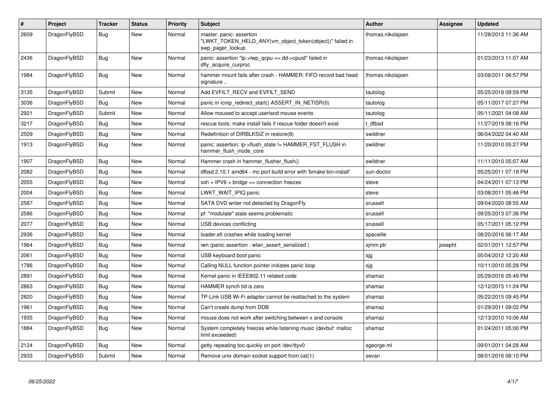| $\#$ | Project      | <b>Tracker</b> | <b>Status</b> | <b>Priority</b> | <b>Subject</b>                                                                                           | <b>Author</b>     | Assignee | <b>Updated</b>      |
|------|--------------|----------------|---------------|-----------------|----------------------------------------------------------------------------------------------------------|-------------------|----------|---------------------|
| 2609 | DragonFlyBSD | Bug            | <b>New</b>    | Normal          | master: panic: assertion<br>"LWKT_TOKEN_HELD_ANY(vm_object_token(object))" failed in<br>swp pager lookup | thomas.nikolajsen |          | 11/28/2013 11:36 AM |
| 2436 | DragonFlyBSD | Bug            | <b>New</b>    | Normal          | panic: assertion "lp->lwp_qcpu == dd->cpuid" failed in<br>dfly acquire curproc                           | thomas.nikolaisen |          | 01/23/2013 11:07 AM |
| 1984 | DragonFlyBSD | Bug            | New           | Normal          | hammer mount fails after crash - HAMMER: FIFO record bad head<br>signature                               | thomas.nikolajsen |          | 03/08/2011 06:57 PM |
| 3135 | DragonFlyBSD | Submit         | New           | Normal          | Add EVFILT RECV and EVFILT SEND                                                                          | tautolog          |          | 05/25/2018 09:59 PM |
| 3036 | DragonFlyBSD | <b>Bug</b>     | <b>New</b>    | Normal          | panic in icmp_redirect_start() ASSERT_IN_NETISR(0)                                                       | tautolog          |          | 05/11/2017 07:27 PM |
| 2921 | DragonFlyBSD | Submit         | <b>New</b>    | Normal          | Allow moused to accept userland mouse events                                                             | tautolog          |          | 05/11/2021 04:08 AM |
| 3217 | DragonFlyBSD | Bug            | <b>New</b>    | Normal          | rescue tools: make install fails if rescue folder doesn't exist                                          | t dfbsd           |          | 11/27/2019 08:16 PM |
| 2509 | DragonFlyBSD | <b>Bug</b>     | <b>New</b>    | Normal          | Redefinition of DIRBLKSIZ in restore(8)                                                                  | swildner          |          | 06/04/2022 04:40 AM |
| 1913 | DragonFlyBSD | <b>Bug</b>     | New           | Normal          | panic: assertion: ip->flush state != HAMMER FST FLUSH in<br>hammer_flush_inode_core                      | swildner          |          | 11/20/2010 05:27 PM |
| 1907 | DragonFlyBSD | <b>Bug</b>     | <b>New</b>    | Normal          | Hammer crash in hammer flusher flush()                                                                   | swildner          |          | 11/11/2010 05:07 AM |
| 2082 | DragonFlyBSD | Bug            | <b>New</b>    | Normal          | dfbsd 2.10.1 amd64 - mc port build error with 'bmake bin-install'                                        | sun-doctor        |          | 05/25/2011 07:18 PM |
| 2055 | DragonFlyBSD | <b>Bug</b>     | New           | Normal          | $ssh + IPV6 + bridge \Rightarrow$ connection freezes                                                     | steve             |          | 04/24/2011 07:13 PM |
| 2004 | DragonFlyBSD | Bug            | New           | Normal          | LWKT WAIT IPIQ panic                                                                                     | steve             |          | 03/08/2011 05:46 PM |
| 2587 | DragonFlyBSD | <b>Bug</b>     | New           | Normal          | SATA DVD writer not detected by DragonFly                                                                | srussell          |          | 09/04/2020 08:55 AM |
| 2586 | DragonFlyBSD | <b>Bug</b>     | New           | Normal          | pf: "modulate" state seems problematic                                                                   | srussell          |          | 09/25/2013 07:36 PM |
| 2077 | DragonFlyBSD | Bug            | New           | Normal          | USB devices conflicting                                                                                  | srussell          |          | 05/17/2011 05:12 PM |
| 2936 | DragonFlyBSD | <b>Bug</b>     | New           | Normal          | loader.efi crashes while loading kernel                                                                  | spaceille         |          | 08/20/2016 06:17 AM |
| 1964 | DragonFlyBSD | Bug            | New           | Normal          | iwn (panic assertion : wlan assert serialized)                                                           | sjmm.ptr          | josepht  | 02/01/2011 12:57 PM |
| 2061 | DragonFlyBSD | <b>Bug</b>     | <b>New</b>    | Normal          | USB keyboard boot panic                                                                                  | sjg               |          | 05/04/2012 12:20 AM |
| 1786 | DragonFlyBSD | <b>Bug</b>     | <b>New</b>    | Normal          | Calling NULL function pointer initiates panic loop                                                       | sjg               |          | 10/11/2010 05:28 PM |
| 2891 | DragonFlyBSD | Bug            | <b>New</b>    | Normal          | Kernel panic in IEEE802.11 related code                                                                  | shamaz            |          | 05/29/2016 05:49 PM |
| 2863 | DragonFlyBSD | <b>Bug</b>     | <b>New</b>    | Normal          | HAMMER synch tid is zero                                                                                 | shamaz            |          | 12/12/2015 11:24 PM |
| 2820 | DragonFlyBSD | Bug            | New           | Normal          | TP-Link USB Wi-Fi adapter cannot be reattached to the system                                             | shamaz            |          | 05/22/2015 09:45 PM |
| 1961 | DragonFlyBSD | <b>Bug</b>     | New           | Normal          | Can't create dump from DDB                                                                               | shamaz            |          | 01/29/2011 09:02 PM |
| 1935 | DragonFlyBSD | <b>Bug</b>     | New           | Normal          | mouse does not work after switching between x and console                                                | shamaz            |          | 12/13/2010 10:06 AM |
| 1884 | DragonFlyBSD | Bug            | New           | Normal          | System completely freezes while listening music (devbuf: malloc<br>limit exceeded)                       | shamaz            |          | 01/24/2011 05:00 PM |
| 2124 | DragonFlyBSD | Bug            | New           | Normal          | getty repeating too quickly on port /dev/ttyv0                                                           | sgeorge.ml        |          | 09/01/2011 04:28 AM |
| 2933 | DragonFlyBSD | Submit         | <b>New</b>    | Normal          | Remove unix domain socket support from cat(1)                                                            | sevan             |          | 08/01/2016 08:10 PM |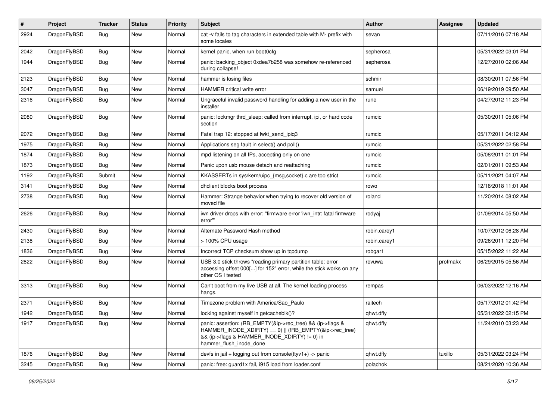| ∦    | Project      | <b>Tracker</b> | <b>Status</b> | <b>Priority</b> | Subject                                                                                                                                                                                           | Author       | Assignee | <b>Updated</b>      |
|------|--------------|----------------|---------------|-----------------|---------------------------------------------------------------------------------------------------------------------------------------------------------------------------------------------------|--------------|----------|---------------------|
| 2924 | DragonFlyBSD | Bug            | New           | Normal          | cat -v fails to tag characters in extended table with M- prefix with<br>some locales                                                                                                              | sevan        |          | 07/11/2016 07:18 AM |
| 2042 | DragonFlyBSD | Bug            | <b>New</b>    | Normal          | kernel panic, when run boot0cfg                                                                                                                                                                   | sepherosa    |          | 05/31/2022 03:01 PM |
| 1944 | DragonFlyBSD | Bug            | New           | Normal          | panic: backing_object 0xdea7b258 was somehow re-referenced<br>during collapse!                                                                                                                    | sepherosa    |          | 12/27/2010 02:06 AM |
| 2123 | DragonFlyBSD | Bug            | <b>New</b>    | Normal          | hammer is losing files                                                                                                                                                                            | schmir       |          | 08/30/2011 07:56 PM |
| 3047 | DragonFlyBSD | Bug            | <b>New</b>    | Normal          | HAMMER critical write error                                                                                                                                                                       | samuel       |          | 06/19/2019 09:50 AM |
| 2316 | DragonFlyBSD | Bug            | New           | Normal          | Ungraceful invalid password handling for adding a new user in the<br>installer                                                                                                                    | rune         |          | 04/27/2012 11:23 PM |
| 2080 | DragonFlyBSD | Bug            | <b>New</b>    | Normal          | panic: lockmgr thrd_sleep: called from interrupt, ipi, or hard code<br>section                                                                                                                    | rumcic       |          | 05/30/2011 05:06 PM |
| 2072 | DragonFlyBSD | <b>Bug</b>     | <b>New</b>    | Normal          | Fatal trap 12: stopped at lwkt_send_ipiq3                                                                                                                                                         | rumcic       |          | 05/17/2011 04:12 AM |
| 1975 | DragonFlyBSD | <b>Bug</b>     | <b>New</b>    | Normal          | Applications seg fault in select() and poll()                                                                                                                                                     | rumcic       |          | 05/31/2022 02:58 PM |
| 1874 | DragonFlyBSD | Bug            | <b>New</b>    | Normal          | mpd listening on all IPs, accepting only on one                                                                                                                                                   | rumcic       |          | 05/08/2011 01:01 PM |
| 1873 | DragonFlyBSD | Bug            | <b>New</b>    | Normal          | Panic upon usb mouse detach and reattaching                                                                                                                                                       | rumcic       |          | 02/01/2011 09:53 AM |
| 1192 | DragonFlyBSD | Submit         | <b>New</b>    | Normal          | KKASSERTs in sys/kern/uipc_{msg,socket}.c are too strict                                                                                                                                          | rumcic       |          | 05/11/2021 04:07 AM |
| 3141 | DragonFlyBSD | Bug            | <b>New</b>    | Normal          | dhclient blocks boot process                                                                                                                                                                      | rowo         |          | 12/16/2018 11:01 AM |
| 2738 | DragonFlyBSD | Bug            | New           | Normal          | Hammer: Strange behavior when trying to recover old version of<br>moved file                                                                                                                      | roland       |          | 11/20/2014 08:02 AM |
| 2626 | DragonFlyBSD | <b>Bug</b>     | <b>New</b>    | Normal          | iwn driver drops with error: "firmware error 'iwn_intr: fatal firmware<br>error'"                                                                                                                 | rodyaj       |          | 01/09/2014 05:50 AM |
| 2430 | DragonFlyBSD | <b>Bug</b>     | <b>New</b>    | Normal          | Alternate Password Hash method                                                                                                                                                                    | robin.carey1 |          | 10/07/2012 06:28 AM |
| 2138 | DragonFlyBSD | Bug            | <b>New</b>    | Normal          | > 100% CPU usage                                                                                                                                                                                  | robin.carey1 |          | 09/26/2011 12:20 PM |
| 1836 | DragonFlyBSD | Bug            | <b>New</b>    | Normal          | Incorrect TCP checksum show up in tcpdump                                                                                                                                                         | robgar1      |          | 05/15/2022 11:22 AM |
| 2822 | DragonFlyBSD | Bug            | <b>New</b>    | Normal          | USB 3.0 stick throws "reading primary partition table: error<br>accessing offset 000[] for 152" error, while the stick works on any<br>other OS I tested                                          | revuwa       | profmakx | 06/29/2015 05:56 AM |
| 3313 | DragonFlyBSD | Bug            | <b>New</b>    | Normal          | Can't boot from my live USB at all. The kernel loading process<br>hangs.                                                                                                                          | rempas       |          | 06/03/2022 12:16 AM |
| 2371 | DragonFlyBSD | <b>Bug</b>     | <b>New</b>    | Normal          | Timezone problem with America/Sao_Paulo                                                                                                                                                           | raitech      |          | 05/17/2012 01:42 PM |
| 1942 | DragonFlyBSD | Bug            | New           | Normal          | locking against myself in getcacheblk()?                                                                                                                                                          | qhwt.dfly    |          | 05/31/2022 02:15 PM |
| 1917 | DragonFlyBSD | <b>Bug</b>     | New           | Normal          | panic: assertion: (RB_EMPTY(&ip->rec_tree) && (ip->flags &<br>HAMMER_INODE_XDIRTY) == 0)    (!RB_EMPTY(&ip->rec_tree)<br>&& (ip->flags & HAMMER_INODE_XDIRTY) != 0) in<br>hammer_flush_inode_done | qhwt.dfly    |          | 11/24/2010 03:23 AM |
| 1876 | DragonFlyBSD | <b>Bug</b>     | New           | Normal          | devfs in jail + logging out from console( $t$ tyv1+) -> panic                                                                                                                                     | qhwt.dfly    | tuxillo  | 05/31/2022 03:24 PM |
| 3245 | DragonFlyBSD | <b>Bug</b>     | New           | Normal          | panic: free: guard1x fail, i915 load from loader.conf                                                                                                                                             | polachok     |          | 08/21/2020 10:36 AM |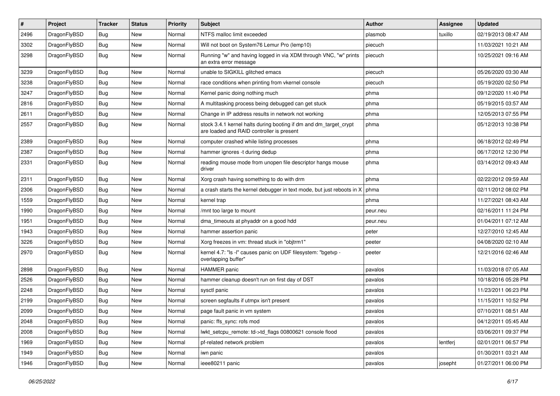| $\sharp$ | Project      | <b>Tracker</b> | <b>Status</b> | <b>Priority</b> | Subject                                                                                                        | Author   | Assignee | <b>Updated</b>      |
|----------|--------------|----------------|---------------|-----------------|----------------------------------------------------------------------------------------------------------------|----------|----------|---------------------|
| 2496     | DragonFlyBSD | <b>Bug</b>     | New           | Normal          | NTFS malloc limit exceeded                                                                                     | plasmob  | tuxillo  | 02/19/2013 08:47 AM |
| 3302     | DragonFlyBSD | Bug            | New           | Normal          | Will not boot on System76 Lemur Pro (lemp10)                                                                   | piecuch  |          | 11/03/2021 10:21 AM |
| 3298     | DragonFlyBSD | <b>Bug</b>     | New           | Normal          | Running "w" and having logged in via XDM through VNC, "w" prints<br>an extra error message                     | piecuch  |          | 10/25/2021 09:16 AM |
| 3239     | DragonFlyBSD | Bug            | <b>New</b>    | Normal          | unable to SIGKILL glitched emacs                                                                               | piecuch  |          | 05/26/2020 03:30 AM |
| 3238     | DragonFlyBSD | <b>Bug</b>     | New           | Normal          | race conditions when printing from vkernel console                                                             | piecuch  |          | 05/19/2020 02:50 PM |
| 3247     | DragonFlyBSD | Bug            | New           | Normal          | Kernel panic doing nothing much                                                                                | phma     |          | 09/12/2020 11:40 PM |
| 2816     | DragonFlyBSD | Bug            | <b>New</b>    | Normal          | A multitasking process being debugged can get stuck                                                            | phma     |          | 05/19/2015 03:57 AM |
| 2611     | DragonFlyBSD | Bug            | New           | Normal          | Change in IP address results in network not working                                                            | phma     |          | 12/05/2013 07:55 PM |
| 2557     | DragonFlyBSD | <b>Bug</b>     | <b>New</b>    | Normal          | stock 3.4.1 kernel halts during booting if dm and dm_target_crypt<br>are loaded and RAID controller is present | phma     |          | 05/12/2013 10:38 PM |
| 2389     | DragonFlyBSD | <b>Bug</b>     | <b>New</b>    | Normal          | computer crashed while listing processes                                                                       | phma     |          | 06/18/2012 02:49 PM |
| 2387     | DragonFlyBSD | Bug            | New           | Normal          | hammer ignores -t during dedup                                                                                 | phma     |          | 06/17/2012 12:30 PM |
| 2331     | DragonFlyBSD | Bug            | New           | Normal          | reading mouse mode from unopen file descriptor hangs mouse<br>driver                                           | phma     |          | 03/14/2012 09:43 AM |
| 2311     | DragonFlyBSD | Bug            | New           | Normal          | Xorg crash having something to do with drm                                                                     | phma     |          | 02/22/2012 09:59 AM |
| 2306     | DragonFlyBSD | Bug            | New           | Normal          | a crash starts the kernel debugger in text mode, but just reboots in X                                         | phma     |          | 02/11/2012 08:02 PM |
| 1559     | DragonFlyBSD | Bug            | <b>New</b>    | Normal          | kernel trap                                                                                                    | phma     |          | 11/27/2021 08:43 AM |
| 1990     | DragonFlyBSD | Bug            | New           | Normal          | /mnt too large to mount                                                                                        | peur.neu |          | 02/16/2011 11:24 PM |
| 1951     | DragonFlyBSD | Bug            | <b>New</b>    | Normal          | dma_timeouts at phyaddr on a good hdd                                                                          | peur.neu |          | 01/04/2011 07:12 AM |
| 1943     | DragonFlyBSD | Bug            | New           | Normal          | hammer assertion panic                                                                                         | peter    |          | 12/27/2010 12:45 AM |
| 3226     | DragonFlyBSD | <b>Bug</b>     | New           | Normal          | Xorg freezes in vm: thread stuck in "objtrm1"                                                                  | peeter   |          | 04/08/2020 02:10 AM |
| 2970     | DragonFlyBSD | <b>Bug</b>     | New           | Normal          | kernel 4.7: "Is -I" causes panic on UDF filesystem: "bgetvp -<br>overlapping buffer"                           | peeter   |          | 12/21/2016 02:46 AM |
| 2898     | DragonFlyBSD | Bug            | <b>New</b>    | Normal          | <b>HAMMER</b> panic                                                                                            | pavalos  |          | 11/03/2018 07:05 AM |
| 2526     | DragonFlyBSD | Bug            | New           | Normal          | hammer cleanup doesn't run on first day of DST                                                                 | pavalos  |          | 10/18/2016 05:28 PM |
| 2248     | DragonFlyBSD | <b>Bug</b>     | New           | Normal          | sysctl panic                                                                                                   | pavalos  |          | 11/23/2011 06:23 PM |
| 2199     | DragonFlyBSD | <b>Bug</b>     | <b>New</b>    | Normal          | screen segfaults if utmpx isn't present                                                                        | pavalos  |          | 11/15/2011 10:52 PM |
| 2099     | DragonFlyBSD | Bug            | New           | Normal          | page fault panic in vm system                                                                                  | pavalos  |          | 07/10/2011 08:51 AM |
| 2048     | DragonFlyBSD | <b>Bug</b>     | New           | Normal          | panic: ffs_sync: rofs mod                                                                                      | pavalos  |          | 04/12/2011 05:45 AM |
| 2008     | DragonFlyBSD | <b>Bug</b>     | <b>New</b>    | Normal          | lwkt_setcpu_remote: td->td_flags 00800621 console flood                                                        | pavalos  |          | 03/06/2011 09:37 PM |
| 1969     | DragonFlyBSD | <b>Bug</b>     | New           | Normal          | pf-related network problem                                                                                     | pavalos  | lentferj | 02/01/2011 06:57 PM |
| 1949     | DragonFlyBSD | <b>Bug</b>     | New           | Normal          | iwn panic                                                                                                      | pavalos  |          | 01/30/2011 03:21 AM |
| 1946     | DragonFlyBSD | <b>Bug</b>     | New           | Normal          | ieee80211 panic                                                                                                | pavalos  | josepht  | 01/27/2011 06:00 PM |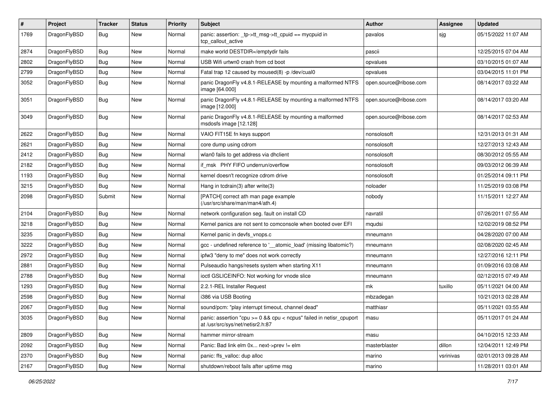| $\pmb{\#}$ | Project      | <b>Tracker</b> | <b>Status</b> | <b>Priority</b> | <b>Subject</b>                                                                                          | <b>Author</b>          | Assignee  | <b>Updated</b>      |
|------------|--------------|----------------|---------------|-----------------|---------------------------------------------------------------------------------------------------------|------------------------|-----------|---------------------|
| 1769       | DragonFlyBSD | Bug            | New           | Normal          | panic: assertion: _tp->tt_msg->tt_cpuid == mycpuid in<br>tcp_callout_active                             | pavalos                | sjg       | 05/15/2022 11:07 AM |
| 2874       | DragonFlyBSD | <b>Bug</b>     | <b>New</b>    | Normal          | make world DESTDIR=/emptydir fails                                                                      | pascii                 |           | 12/25/2015 07:04 AM |
| 2802       | DragonFlyBSD | Bug            | New           | Normal          | USB Wifi urtwn0 crash from cd boot                                                                      | opvalues               |           | 03/10/2015 01:07 AM |
| 2799       | DragonFlyBSD | Bug            | New           | Normal          | Fatal trap 12 caused by moused(8) -p/dev/cual0                                                          | opvalues               |           | 03/04/2015 11:01 PM |
| 3052       | DragonFlyBSD | Bug            | <b>New</b>    | Normal          | panic DragonFly v4.8.1-RELEASE by mounting a malformed NTFS<br>image [64.000]                           | open.source@ribose.com |           | 08/14/2017 03:22 AM |
| 3051       | DragonFlyBSD | <b>Bug</b>     | <b>New</b>    | Normal          | panic DragonFly v4.8.1-RELEASE by mounting a malformed NTFS<br>image [12.000]                           | open.source@ribose.com |           | 08/14/2017 03:20 AM |
| 3049       | DragonFlyBSD | <b>Bug</b>     | <b>New</b>    | Normal          | panic DragonFly v4.8.1-RELEASE by mounting a malformed<br>msdosfs image [12.128]                        | open.source@ribose.com |           | 08/14/2017 02:53 AM |
| 2622       | DragonFlyBSD | Bug            | <b>New</b>    | Normal          | VAIO FIT15E fn keys support                                                                             | nonsolosoft            |           | 12/31/2013 01:31 AM |
| 2621       | DragonFlyBSD | Bug            | <b>New</b>    | Normal          | core dump using cdrom                                                                                   | nonsolosoft            |           | 12/27/2013 12:43 AM |
| 2412       | DragonFlyBSD | <b>Bug</b>     | <b>New</b>    | Normal          | wlan0 fails to get address via dhclient                                                                 | nonsolosoft            |           | 08/30/2012 05:55 AM |
| 2182       | DragonFlyBSD | <b>Bug</b>     | <b>New</b>    | Normal          | if msk PHY FIFO underrun/overflow                                                                       | nonsolosoft            |           | 09/03/2012 06:39 AM |
| 1193       | DragonFlyBSD | Bug            | <b>New</b>    | Normal          | kernel doesn't recognize cdrom drive                                                                    | nonsolosoft            |           | 01/25/2014 09:11 PM |
| 3215       | DragonFlyBSD | Bug            | New           | Normal          | Hang in todrain(3) after write(3)                                                                       | noloader               |           | 11/25/2019 03:08 PM |
| 2098       | DragonFlyBSD | Submit         | <b>New</b>    | Normal          | [PATCH] correct ath man page example<br>(/usr/src/share/man/man4/ath.4)                                 | nobody                 |           | 11/15/2011 12:27 AM |
| 2104       | DragonFlyBSD | Bug            | <b>New</b>    | Normal          | network configuration seg. fault on install CD                                                          | navratil               |           | 07/26/2011 07:55 AM |
| 3218       | DragonFlyBSD | Bug            | <b>New</b>    | Normal          | Kernel panics are not sent to comconsole when booted over EFI                                           | mqudsi                 |           | 12/02/2019 08:52 PM |
| 3235       | DragonFlyBSD | <b>Bug</b>     | New           | Normal          | Kernel panic in devfs_vnops.c                                                                           | mneumann               |           | 04/28/2020 07:00 AM |
| 3222       | DragonFlyBSD | Bug            | New           | Normal          | gcc - undefined reference to '__atomic_load' (missing libatomic?)                                       | mneumann               |           | 02/08/2020 02:45 AM |
| 2972       | DragonFlyBSD | Bug            | <b>New</b>    | Normal          | ipfw3 "deny to me" does not work correctly                                                              | mneumann               |           | 12/27/2016 12:11 PM |
| 2881       | DragonFlyBSD | Bug            | New           | Normal          | Pulseaudio hangs/resets system when starting X11                                                        | mneumann               |           | 01/09/2016 03:08 AM |
| 2788       | DragonFlyBSD | Bug            | <b>New</b>    | Normal          | ioctl GSLICEINFO: Not working for vnode slice                                                           | mneumann               |           | 02/12/2015 07:49 AM |
| 1293       | DragonFlyBSD | Bug            | <b>New</b>    | Normal          | 2.2.1-REL Installer Request                                                                             | mk                     | tuxillo   | 05/11/2021 04:00 AM |
| 2598       | DragonFlyBSD | Bug            | New           | Normal          | i386 via USB Booting                                                                                    | mbzadegan              |           | 10/21/2013 02:28 AM |
| 2067       | DragonFlyBSD | Bug            | New           | Normal          | sound/pcm: "play interrupt timeout, channel dead"                                                       | matthiasr              |           | 05/11/2021 03:55 AM |
| 3035       | DragonFlyBSD | <b>Bug</b>     | New           | Normal          | panic: assertion "cpu >= 0 && cpu < ncpus" failed in netisr_cpuport<br>at /usr/src/sys/net/netisr2.h:87 | ⊺masu                  |           | 05/11/2017 01:24 AM |
| 2809       | DragonFlyBSD | <b>Bug</b>     | New           | Normal          | hammer mirror-stream                                                                                    | masu                   |           | 04/10/2015 12:33 AM |
| 2092       | DragonFlyBSD | Bug            | New           | Normal          | Panic: Bad link elm 0x next->prev != elm                                                                | masterblaster          | dillon    | 12/04/2011 12:49 PM |
| 2370       | DragonFlyBSD | <b>Bug</b>     | New           | Normal          | panic: ffs valloc: dup alloc                                                                            | marino                 | vsrinivas | 02/01/2013 09:28 AM |
| 2167       | DragonFlyBSD | <b>Bug</b>     | New           | Normal          | shutdown/reboot fails after uptime msg                                                                  | marino                 |           | 11/28/2011 03:01 AM |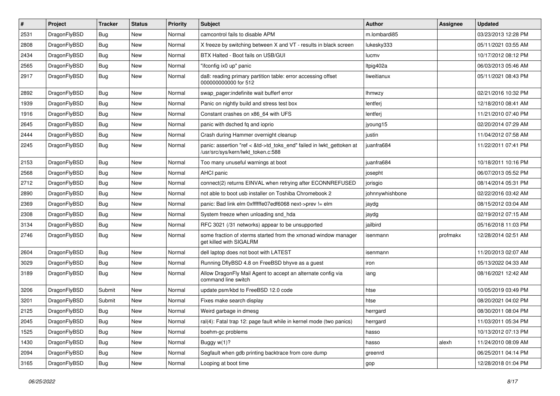| $\sharp$ | Project      | <b>Tracker</b> | <b>Status</b> | <b>Priority</b> | Subject                                                                                                    | Author          | Assignee | <b>Updated</b>      |
|----------|--------------|----------------|---------------|-----------------|------------------------------------------------------------------------------------------------------------|-----------------|----------|---------------------|
| 2531     | DragonFlyBSD | Bug            | New           | Normal          | camcontrol fails to disable APM                                                                            | m.lombardi85    |          | 03/23/2013 12:28 PM |
| 2808     | DragonFlyBSD | Bug            | New           | Normal          | X freeze by switching between X and VT - results in black screen                                           | lukesky333      |          | 05/11/2021 03:55 AM |
| 2434     | DragonFlyBSD | Bug            | New           | Normal          | BTX Halted - Boot fails on USB/GUI                                                                         | lucmv           |          | 10/17/2012 08:12 PM |
| 2565     | DragonFlyBSD | Bug            | New           | Normal          | "ifconfig ix0 up" panic                                                                                    | ltpig402a       |          | 06/03/2013 05:46 AM |
| 2917     | DragonFlyBSD | Bug            | <b>New</b>    | Normal          | da8: reading primary partition table: error accessing offset<br>000000000000 for 512                       | liweitianux     |          | 05/11/2021 08:43 PM |
| 2892     | DragonFlyBSD | Bug            | New           | Normal          | swap pager:indefinite wait bufferf error                                                                   | <b>Ihmwzy</b>   |          | 02/21/2016 10:32 PM |
| 1939     | DragonFlyBSD | Bug            | <b>New</b>    | Normal          | Panic on nightly build and stress test box                                                                 | lentferj        |          | 12/18/2010 08:41 AM |
| 1916     | DragonFlyBSD | Bug            | New           | Normal          | Constant crashes on x86 64 with UFS                                                                        | lentferj        |          | 11/21/2010 07:40 PM |
| 2645     | DragonFlyBSD | Bug            | <b>New</b>    | Normal          | panic with dsched fq and ioprio                                                                            | jyoung15        |          | 02/20/2014 07:29 AM |
| 2444     | DragonFlyBSD | Bug            | New           | Normal          | Crash during Hammer overnight cleanup                                                                      | justin          |          | 11/04/2012 07:58 AM |
| 2245     | DragonFlyBSD | Bug            | <b>New</b>    | Normal          | panic: assertion "ref < &td->td_toks_end" failed in lwkt_gettoken at<br>/usr/src/sys/kern/lwkt_token.c:588 | juanfra684      |          | 11/22/2011 07:41 PM |
| 2153     | DragonFlyBSD | Bug            | New           | Normal          | Too many unuseful warnings at boot                                                                         | juanfra684      |          | 10/18/2011 10:16 PM |
| 2568     | DragonFlyBSD | Bug            | New           | Normal          | AHCI panic                                                                                                 | josepht         |          | 06/07/2013 05:52 PM |
| 2712     | DragonFlyBSD | Bug            | <b>New</b>    | Normal          | connect(2) returns EINVAL when retrying after ECONNREFUSED                                                 | jorisgio        |          | 08/14/2014 05:31 PM |
| 2890     | DragonFlyBSD | Bug            | New           | Normal          | not able to boot usb installer on Toshiba Chromebook 2                                                     | johnnywhishbone |          | 02/22/2016 03:42 AM |
| 2369     | DragonFlyBSD | Bug            | <b>New</b>    | Normal          | panic: Bad link elm 0xffffffe07edf6068 next->prev != elm                                                   | jaydg           |          | 08/15/2012 03:04 AM |
| 2308     | DragonFlyBSD | Bug            | New           | Normal          | System freeze when unloading snd_hda                                                                       | jaydg           |          | 02/19/2012 07:15 AM |
| 3134     | DragonFlyBSD | Bug            | New           | Normal          | RFC 3021 (/31 networks) appear to be unsupported                                                           | jailbird        |          | 05/16/2018 11:03 PM |
| 2746     | DragonFlyBSD | Bug            | New           | Normal          | some fraction of xterms started from the xmonad window manager<br>get killed with SIGALRM                  | isenmann        | profmakx | 12/28/2014 02:51 AM |
| 2604     | DragonFlyBSD | Bug            | <b>New</b>    | Normal          | dell laptop does not boot with LATEST                                                                      | isenmann        |          | 11/20/2013 02:07 AM |
| 3029     | DragonFlyBSD | Bug            | <b>New</b>    | Normal          | Running DflyBSD 4.8 on FreeBSD bhyve as a guest                                                            | iron            |          | 05/13/2022 04:33 AM |
| 3189     | DragonFlyBSD | Bug            | <b>New</b>    | Normal          | Allow DragonFly Mail Agent to accept an alternate config via<br>command line switch                        | iang            |          | 08/16/2021 12:42 AM |
| 3206     | DragonFlyBSD | Submit         | <b>New</b>    | Normal          | update psm/kbd to FreeBSD 12.0 code                                                                        | htse            |          | 10/05/2019 03:49 PM |
| 3201     | DragonFlyBSD | Submit         | New           | Normal          | Fixes make search display                                                                                  | htse            |          | 08/20/2021 04:02 PM |
| 2125     | DragonFlyBSD | Bug            | New           | Normal          | Weird garbage in dmesg                                                                                     | herrgard        |          | 08/30/2011 08:04 PM |
| 2045     | DragonFlyBSD | <b>Bug</b>     | New           | Normal          | ral(4): Fatal trap 12: page fault while in kernel mode (two panics)                                        | herrgard        |          | 11/03/2011 05:34 PM |
| 1525     | DragonFlyBSD | <b>Bug</b>     | New           | Normal          | boehm-gc problems                                                                                          | hasso           |          | 10/13/2012 07:13 PM |
| 1430     | DragonFlyBSD | <b>Bug</b>     | New           | Normal          | Buggy w(1)?                                                                                                | hasso           | alexh    | 11/24/2010 08:09 AM |
| 2094     | DragonFlyBSD | <b>Bug</b>     | New           | Normal          | Segfault when gdb printing backtrace from core dump                                                        | greenrd         |          | 06/25/2011 04:14 PM |
| 3165     | DragonFlyBSD | <b>Bug</b>     | New           | Normal          | Looping at boot time                                                                                       | gop             |          | 12/28/2018 01:04 PM |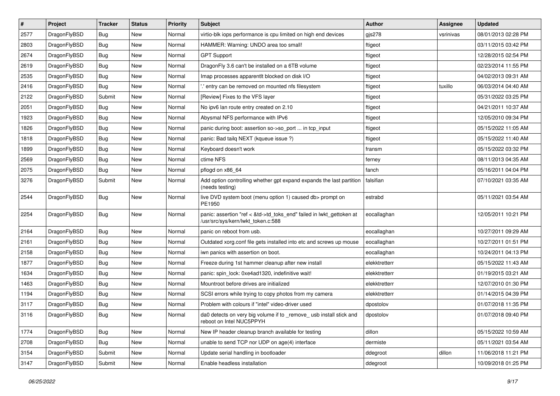| $\sharp$ | Project      | <b>Tracker</b> | <b>Status</b> | <b>Priority</b> | Subject                                                                                                    | Author        | <b>Assignee</b> | <b>Updated</b>      |
|----------|--------------|----------------|---------------|-----------------|------------------------------------------------------------------------------------------------------------|---------------|-----------------|---------------------|
| 2577     | DragonFlyBSD | Bug            | New           | Normal          | virtio-blk iops performance is cpu limited on high end devices                                             | gjs278        | vsrinivas       | 08/01/2013 02:28 PM |
| 2803     | DragonFlyBSD | Bug            | <b>New</b>    | Normal          | HAMMER: Warning: UNDO area too small!                                                                      | ftigeot       |                 | 03/11/2015 03:42 PM |
| 2674     | DragonFlyBSD | <b>Bug</b>     | New           | Normal          | <b>GPT Support</b>                                                                                         | ftigeot       |                 | 12/28/2015 02:54 PM |
| 2619     | DragonFlyBSD | Bug            | New           | Normal          | DragonFly 3.6 can't be installed on a 6TB volume                                                           | ftigeot       |                 | 02/23/2014 11:55 PM |
| 2535     | DragonFlyBSD | Bug            | <b>New</b>    | Normal          | Imap processes apparentlt blocked on disk I/O                                                              | ftigeot       |                 | 04/02/2013 09:31 AM |
| 2416     | DragonFlyBSD | <b>Bug</b>     | <b>New</b>    | Normal          | ".' entry can be removed on mounted nfs filesystem                                                         | ftigeot       | tuxillo         | 06/03/2014 04:40 AM |
| 2122     | DragonFlyBSD | Submit         | New           | Normal          | [Review] Fixes to the VFS layer                                                                            | ftigeot       |                 | 05/31/2022 03:25 PM |
| 2051     | DragonFlyBSD | Bug            | New           | Normal          | No ipv6 lan route entry created on 2.10                                                                    | ftigeot       |                 | 04/21/2011 10:37 AM |
| 1923     | DragonFlyBSD | <b>Bug</b>     | New           | Normal          | Abysmal NFS performance with IPv6                                                                          | ftigeot       |                 | 12/05/2010 09:34 PM |
| 1826     | DragonFlyBSD | Bug            | New           | Normal          | panic during boot: assertion so->so_port  in tcp_input                                                     | ftigeot       |                 | 05/15/2022 11:05 AM |
| 1818     | DragonFlyBSD | <b>Bug</b>     | New           | Normal          | panic: Bad tailg NEXT (kqueue issue ?)                                                                     | ftigeot       |                 | 05/15/2022 11:40 AM |
| 1899     | DragonFlyBSD | <b>Bug</b>     | <b>New</b>    | Normal          | Keyboard doesn't work                                                                                      | fransm        |                 | 05/15/2022 03:32 PM |
| 2569     | DragonFlyBSD | Bug            | New           | Normal          | ctime NFS                                                                                                  | ferney        |                 | 08/11/2013 04:35 AM |
| 2075     | DragonFlyBSD | <b>Bug</b>     | New           | Normal          | pflogd on x86_64                                                                                           | fanch         |                 | 05/16/2011 04:04 PM |
| 3276     | DragonFlyBSD | Submit         | <b>New</b>    | Normal          | Add option controlling whether gpt expand expands the last partition<br>(needs testing)                    | falsifian     |                 | 07/10/2021 03:35 AM |
| 2544     | DragonFlyBSD | Bug            | New           | Normal          | live DVD system boot (menu option 1) caused db> prompt on<br>PE1950                                        | estrabd       |                 | 05/11/2021 03:54 AM |
| 2254     | DragonFlyBSD | Bug            | New           | Normal          | panic: assertion "ref < &td->td_toks_end" failed in lwkt_gettoken at<br>/usr/src/sys/kern/lwkt_token.c:588 | eocallaghan   |                 | 12/05/2011 10:21 PM |
| 2164     | DragonFlyBSD | Bug            | <b>New</b>    | Normal          | panic on reboot from usb.                                                                                  | eocallaghan   |                 | 10/27/2011 09:29 AM |
| 2161     | DragonFlyBSD | <b>Bug</b>     | New           | Normal          | Outdated xorg.conf file gets installed into etc and screws up mouse                                        | eocallaghan   |                 | 10/27/2011 01:51 PM |
| 2158     | DragonFlyBSD | Bug            | <b>New</b>    | Normal          | iwn panics with assertion on boot.                                                                         | eocallaghan   |                 | 10/24/2011 04:13 PM |
| 1877     | DragonFlyBSD | <b>Bug</b>     | <b>New</b>    | Normal          | Freeze during 1st hammer cleanup after new install                                                         | elekktretterr |                 | 05/15/2022 11:43 AM |
| 1634     | DragonFlyBSD | <b>Bug</b>     | New           | Normal          | panic: spin lock: 0xe4ad1320, indefinitive wait!                                                           | elekktretterr |                 | 01/19/2015 03:21 AM |
| 1463     | DragonFlyBSD | Bug            | <b>New</b>    | Normal          | Mountroot before drives are initialized                                                                    | elekktretterr |                 | 12/07/2010 01:30 PM |
| 1194     | DragonFlyBSD | <b>Bug</b>     | <b>New</b>    | Normal          | SCSI errors while trying to copy photos from my camera                                                     | elekktretterr |                 | 01/14/2015 04:39 PM |
| 3117     | DragonFlyBSD | <b>Bug</b>     | New           | Normal          | Problem with colours if "intel" video-driver used                                                          | dpostolov     |                 | 01/07/2018 11:35 PM |
| 3116     | DragonFlyBSD | Bug            | <b>New</b>    | Normal          | da0 detects on very big volume if to _remove_ usb install stick and<br>reboot on Intel NUC5PPYH            | dpostolov     |                 | 01/07/2018 09:40 PM |
| 1774     | DragonFlyBSD | <b>Bug</b>     | New           | Normal          | New IP header cleanup branch available for testing                                                         | dillon        |                 | 05/15/2022 10:59 AM |
| 2708     | DragonFlyBSD | <b>Bug</b>     | New           | Normal          | unable to send TCP nor UDP on age(4) interface                                                             | dermiste      |                 | 05/11/2021 03:54 AM |
| 3154     | DragonFlyBSD | Submit         | New           | Normal          | Update serial handling in bootloader                                                                       | ddegroot      | dillon          | 11/06/2018 11:21 PM |
| 3147     | DragonFlyBSD | Submit         | New           | Normal          | Enable headless installation                                                                               | ddegroot      |                 | 10/09/2018 01:25 PM |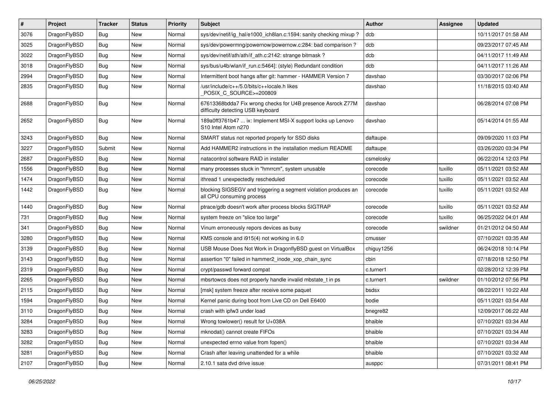| #    | Project      | <b>Tracker</b> | <b>Status</b> | <b>Priority</b> | Subject                                                                                                    | Author     | Assignee | <b>Updated</b>      |
|------|--------------|----------------|---------------|-----------------|------------------------------------------------------------------------------------------------------------|------------|----------|---------------------|
| 3076 | DragonFlyBSD | <b>Bug</b>     | New           | Normal          | sys/dev/netif/ig hal/e1000 ich8lan.c:1594: sanity checking mixup?                                          | dcb        |          | 10/11/2017 01:58 AM |
| 3025 | DragonFlyBSD | Bug            | New           | Normal          | sys/dev/powermng/powernow/powernow.c:284: bad comparison?                                                  | dcb        |          | 09/23/2017 07:45 AM |
| 3022 | DragonFlyBSD | Bug            | New           | Normal          | sys/dev/netif/ath/ath/if ath.c:2142: strange bitmask?                                                      | dcb        |          | 04/11/2017 11:49 AM |
| 3018 | DragonFlyBSD | Bug            | New           | Normal          | sys/bus/u4b/wlan/if run.c:5464]: (style) Redundant condition                                               | dcb        |          | 04/11/2017 11:26 AM |
| 2994 | DragonFlyBSD | Bug            | <b>New</b>    | Normal          | Intermittent boot hangs after git: hammer - HAMMER Version 7                                               | davshao    |          | 03/30/2017 02:06 PM |
| 2835 | DragonFlyBSD | Bug            | <b>New</b>    | Normal          | /usr/include/c++/5.0/bits/c++locale.h likes<br>POSIX_C_SOURCE>=200809                                      | davshao    |          | 11/18/2015 03:40 AM |
| 2688 | DragonFlyBSD | Bug            | <b>New</b>    | Normal          | 67613368bdda7 Fix wrong checks for U4B presence Asrock Z77M<br>difficulty detecting USB keyboard           | davshao    |          | 06/28/2014 07:08 PM |
| 2652 | DragonFlyBSD | <b>Bug</b>     | New           | Normal          | 189a0ff3761b47  ix: Implement MSI-X support locks up Lenovo<br>S <sub>10</sub> Intel Atom n <sub>270</sub> | davshao    |          | 05/14/2014 01:55 AM |
| 3243 | DragonFlyBSD | Bug            | New           | Normal          | SMART status not reported properly for SSD disks                                                           | daftaupe   |          | 09/09/2020 11:03 PM |
| 3227 | DragonFlyBSD | Submit         | New           | Normal          | Add HAMMER2 instructions in the installation medium README                                                 | daftaupe   |          | 03/26/2020 03:34 PM |
| 2687 | DragonFlyBSD | Bug            | New           | Normal          | natacontrol software RAID in installer                                                                     | csmelosky  |          | 06/22/2014 12:03 PM |
| 1556 | DragonFlyBSD | Bug            | New           | Normal          | many processes stuck in "hmrrcm", system unusable                                                          | corecode   | tuxillo  | 05/11/2021 03:52 AM |
| 1474 | DragonFlyBSD | Bug            | New           | Normal          | ithread 1 unexpectedly rescheduled                                                                         | corecode   | tuxillo  | 05/11/2021 03:52 AM |
| 1442 | DragonFlyBSD | Bug            | New           | Normal          | blocking SIGSEGV and triggering a segment violation produces an<br>all CPU consuming process               | corecode   | tuxillo  | 05/11/2021 03:52 AM |
| 1440 | DragonFlyBSD | Bug            | New           | Normal          | ptrace/gdb doesn't work after process blocks SIGTRAP                                                       | corecode   | tuxillo  | 05/11/2021 03:52 AM |
| 731  | DragonFlyBSD | Bug            | New           | Normal          | system freeze on "slice too large"                                                                         | corecode   | tuxillo  | 06/25/2022 04:01 AM |
| 341  | DragonFlyBSD | Bug            | <b>New</b>    | Normal          | Vinum erroneously repors devices as busy                                                                   | corecode   | swildner | 01/21/2012 04:50 AM |
| 3280 | DragonFlyBSD | Bug            | <b>New</b>    | Normal          | KMS console and i915(4) not working in 6.0                                                                 | cmusser    |          | 07/10/2021 03:35 AM |
| 3139 | DragonFlyBSD | Bug            | <b>New</b>    | Normal          | USB Mouse Does Not Work in DragonflyBSD guest on VirtualBox                                                | chiguy1256 |          | 06/24/2018 10:14 PM |
| 3143 | DragonFlyBSD | Bug            | New           | Normal          | assertion "0" failed in hammer2 inode xop chain sync                                                       | cbin       |          | 07/18/2018 12:50 PM |
| 2319 | DragonFlyBSD | Bug            | New           | Normal          | crypt/passwd forward compat                                                                                | c.turner1  |          | 02/28/2012 12:39 PM |
| 2265 | DragonFlyBSD | Bug            | New           | Normal          | mbsrtowcs does not properly handle invalid mbstate_t in ps                                                 | c.turner1  | swildner | 01/10/2012 07:56 PM |
| 2115 | DragonFlyBSD | Bug            | New           | Normal          | [msk] system freeze after receive some paquet                                                              | bsdsx      |          | 08/22/2011 10:22 AM |
| 1594 | DragonFlyBSD | Bug            | <b>New</b>    | Normal          | Kernel panic during boot from Live CD on Dell E6400                                                        | bodie      |          | 05/11/2021 03:54 AM |
| 3110 | DragonFlyBSD | Bug            | New           | Normal          | crash with ipfw3 under load                                                                                | bnegre82   |          | 12/09/2017 06:22 AM |
| 3284 | DragonFlyBSD | <b>Bug</b>     | New           | Normal          | Wrong towlower() result for U+038A                                                                         | bhaible    |          | 07/10/2021 03:34 AM |
| 3283 | DragonFlyBSD | <b>Bug</b>     | New           | Normal          | mknodat() cannot create FIFOs                                                                              | bhaible    |          | 07/10/2021 03:34 AM |
| 3282 | DragonFlyBSD | <b>Bug</b>     | New           | Normal          | unexpected errno value from fopen()                                                                        | bhaible    |          | 07/10/2021 03:34 AM |
| 3281 | DragonFlyBSD | <b>Bug</b>     | New           | Normal          | Crash after leaving unattended for a while                                                                 | bhaible    |          | 07/10/2021 03:32 AM |
| 2107 | DragonFlyBSD | <b>Bug</b>     | New           | Normal          | 2.10.1 sata dvd drive issue                                                                                | ausppc     |          | 07/31/2011 08:41 PM |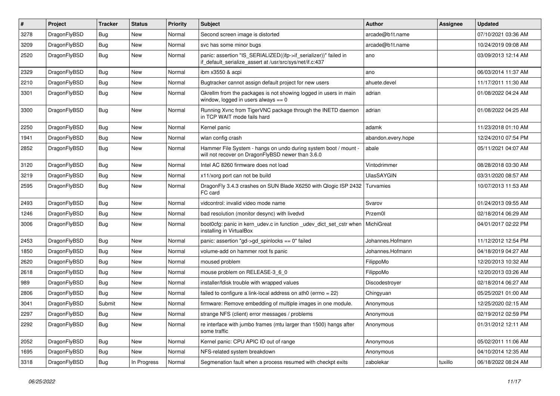| $\sharp$ | Project      | <b>Tracker</b> | <b>Status</b> | <b>Priority</b> | Subject                                                                                                                      | <b>Author</b>      | <b>Assignee</b> | <b>Updated</b>      |
|----------|--------------|----------------|---------------|-----------------|------------------------------------------------------------------------------------------------------------------------------|--------------------|-----------------|---------------------|
| 3278     | DragonFlyBSD | Bug            | <b>New</b>    | Normal          | Second screen image is distorted                                                                                             | arcade@b1t.name    |                 | 07/10/2021 03:36 AM |
| 3209     | DragonFlyBSD | <b>Bug</b>     | New           | Normal          | svc has some minor bugs                                                                                                      | arcade@b1t.name    |                 | 10/24/2019 09:08 AM |
| 2520     | DragonFlyBSD | Bug            | New           | Normal          | panic: assertion "IS_SERIALIZED((ifp->if_serializer))" failed in<br>if_default_serialize_assert at /usr/src/sys/net/if.c:437 | ano                |                 | 03/09/2013 12:14 AM |
| 2329     | DragonFlyBSD | Bug            | New           | Normal          | ibm x3550 & acpi                                                                                                             | ano                |                 | 06/03/2014 11:37 AM |
| 2210     | DragonFlyBSD | Bug            | New           | Normal          | Bugtracker cannot assign default project for new users                                                                       | ahuete.devel       |                 | 11/17/2011 11:30 AM |
| 3301     | DragonFlyBSD | <b>Bug</b>     | <b>New</b>    | Normal          | Gkrellm from the packages is not showing logged in users in main<br>window, logged in users always $== 0$                    | adrian             |                 | 01/08/2022 04:24 AM |
| 3300     | DragonFlyBSD | Bug            | <b>New</b>    | Normal          | Running Xvnc from TigerVNC package through the INETD daemon<br>in TCP WAIT mode fails hard                                   | adrian             |                 | 01/08/2022 04:25 AM |
| 2250     | DragonFlyBSD | <b>Bug</b>     | New           | Normal          | Kernel panic                                                                                                                 | adamk              |                 | 11/23/2018 01:10 AM |
| 1941     | DragonFlyBSD | Bug            | New           | Normal          | wlan config crash                                                                                                            | abandon.every.hope |                 | 12/24/2010 07:54 PM |
| 2852     | DragonFlyBSD | Bug            | <b>New</b>    | Normal          | Hammer File System - hangs on undo during system boot / mount -<br>will not recover on DragonFlyBSD newer than 3.6.0         | abale              |                 | 05/11/2021 04:07 AM |
| 3120     | DragonFlyBSD | Bug            | New           | Normal          | Intel AC 8260 firmware does not load                                                                                         | Vintodrimmer       |                 | 08/28/2018 03:30 AM |
| 3219     | DragonFlyBSD | Bug            | New           | Normal          | x11/xorg port can not be build                                                                                               | <b>UlasSAYGIN</b>  |                 | 03/31/2020 08:57 AM |
| 2595     | DragonFlyBSD | Bug            | New           | Normal          | DragonFly 3.4.3 crashes on SUN Blade X6250 with Qlogic ISP 2432<br>FC card                                                   | Turvamies          |                 | 10/07/2013 11:53 AM |
| 2493     | DragonFlyBSD | Bug            | <b>New</b>    | Normal          | vidcontrol: invalid video mode name                                                                                          | Svarov             |                 | 01/24/2013 09:55 AM |
| 1246     | DragonFlyBSD | Bug            | <b>New</b>    | Normal          | bad resolution (monitor desync) with livedvd                                                                                 | Przem0l            |                 | 02/18/2014 06:29 AM |
| 3006     | DragonFlyBSD | Bug            | New           | Normal          | boot0cfg: panic in kern_udev.c in function _udev_dict_set_cstr when<br>installing in VirtualBox                              | MichiGreat         |                 | 04/01/2017 02:22 PM |
| 2453     | DragonFlyBSD | Bug            | New           | Normal          | panic: assertion "gd->gd_spinlocks == 0" failed                                                                              | Johannes.Hofmann   |                 | 11/12/2012 12:54 PM |
| 1850     | DragonFlyBSD | Bug            | New           | Normal          | volume-add on hammer root fs panic                                                                                           | Johannes.Hofmann   |                 | 04/18/2019 04:27 AM |
| 2620     | DragonFlyBSD | Bug            | New           | Normal          | moused problem                                                                                                               | FilippoMo          |                 | 12/20/2013 10:32 AM |
| 2618     | DragonFlyBSD | Bug            | <b>New</b>    | Normal          | mouse problem on RELEASE-3_6_0                                                                                               | FilippoMo          |                 | 12/20/2013 03:26 AM |
| 989      | DragonFlyBSD | <b>Bug</b>     | <b>New</b>    | Normal          | installer/fdisk trouble with wrapped values                                                                                  | Discodestrover     |                 | 02/18/2014 06:27 AM |
| 2806     | DragonFlyBSD | Bug            | New           | Normal          | failed to configure a link-local address on ath0 (errno = 22)                                                                | Chingyuan          |                 | 05/25/2021 01:00 AM |
| 3041     | DragonFlyBSD | Submit         | New           | Normal          | firmware: Remove embedding of multiple images in one module.                                                                 | Anonymous          |                 | 12/25/2020 02:15 AM |
| 2297     | DragonFlyBSD | Bug            | <b>New</b>    | Normal          | strange NFS (client) error messages / problems                                                                               | Anonymous          |                 | 02/19/2012 02:59 PM |
| 2292     | DragonFlyBSD | <b>Bug</b>     | New           | Normal          | re interface with jumbo frames (mtu larger than 1500) hangs after<br>some traffic                                            | Anonymous          |                 | 01/31/2012 12:11 AM |
| 2052     | DragonFlyBSD | <b>Bug</b>     | <b>New</b>    | Normal          | Kernel panic: CPU APIC ID out of range                                                                                       | Anonymous          |                 | 05/02/2011 11:06 AM |
| 1695     | DragonFlyBSD | <b>Bug</b>     | New           | Normal          | NFS-related system breakdown                                                                                                 | Anonymous          |                 | 04/10/2014 12:35 AM |
| 3318     | DragonFlyBSD | <b>Bug</b>     | In Progress   | Normal          | Segmenation fault when a process resumed with checkpt exits                                                                  | zabolekar          | tuxillo         | 06/18/2022 08:24 AM |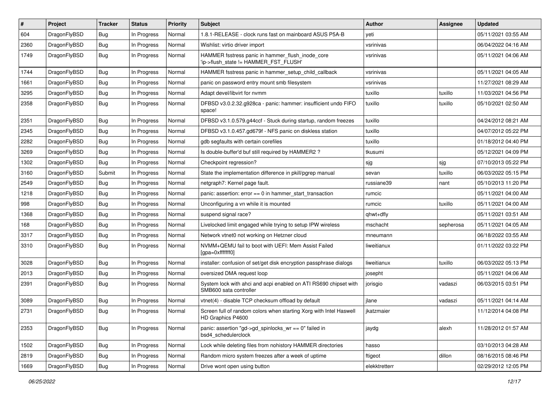| ∦    | Project      | <b>Tracker</b> | <b>Status</b> | <b>Priority</b> | <b>Subject</b>                                                                             | Author        | <b>Assignee</b> | <b>Updated</b>      |
|------|--------------|----------------|---------------|-----------------|--------------------------------------------------------------------------------------------|---------------|-----------------|---------------------|
| 604  | DragonFlyBSD | <b>Bug</b>     | In Progress   | Normal          | 1.8.1-RELEASE - clock runs fast on mainboard ASUS P5A-B                                    | yeti          |                 | 05/11/2021 03:55 AM |
| 2360 | DragonFlyBSD | <b>Bug</b>     | In Progress   | Normal          | Wishlist: virtio driver import                                                             | vsrinivas     |                 | 06/04/2022 04:16 AM |
| 1749 | DragonFlyBSD | <b>Bug</b>     | In Progress   | Normal          | HAMMER fsstress panic in hammer_flush_inode_core<br>'ip->flush state != HAMMER FST FLUSH'  | vsrinivas     |                 | 05/11/2021 04:06 AM |
| 1744 | DragonFlyBSD | <b>Bug</b>     | In Progress   | Normal          | HAMMER fsstress panic in hammer_setup_child_callback                                       | vsrinivas     |                 | 05/11/2021 04:05 AM |
| 1661 | DragonFlyBSD | <b>Bug</b>     | In Progress   | Normal          | panic on password entry mount smb filesystem                                               | vsrinivas     |                 | 11/27/2021 08:29 AM |
| 3295 | DragonFlyBSD | Bug            | In Progress   | Normal          | Adapt devel/libvirt for nvmm                                                               | tuxillo       | tuxillo         | 11/03/2021 04:56 PM |
| 2358 | DragonFlyBSD | Bug            | In Progress   | Normal          | DFBSD v3.0.2.32.g928ca - panic: hammer: insufficient undo FIFO<br>space!                   | tuxillo       | tuxillo         | 05/10/2021 02:50 AM |
| 2351 | DragonFlyBSD | <b>Bug</b>     | In Progress   | Normal          | DFBSD v3.1.0.579.g44ccf - Stuck during startup, random freezes                             | tuxillo       |                 | 04/24/2012 08:21 AM |
| 2345 | DragonFlyBSD | <b>Bug</b>     | In Progress   | Normal          | DFBSD v3.1.0.457.gd679f - NFS panic on diskless station                                    | tuxillo       |                 | 04/07/2012 05:22 PM |
| 2282 | DragonFlyBSD | Bug            | In Progress   | Normal          | gdb segfaults with certain corefiles                                                       | tuxillo       |                 | 01/18/2012 04:40 PM |
| 3269 | DragonFlyBSD | <b>Bug</b>     | In Progress   | Normal          | Is double-buffer'd buf still required by HAMMER2 ?                                         | tkusumi       |                 | 05/12/2021 04:09 PM |
| 1302 | DragonFlyBSD | <b>Bug</b>     | In Progress   | Normal          | Checkpoint regression?                                                                     | sjg           | sjg             | 07/10/2013 05:22 PM |
| 3160 | DragonFlyBSD | Submit         | In Progress   | Normal          | State the implementation difference in pkill/pgrep manual                                  | sevan         | tuxillo         | 06/03/2022 05:15 PM |
| 2549 | DragonFlyBSD | <b>Bug</b>     | In Progress   | Normal          | netgraph7: Kernel page fault.                                                              | russiane39    | nant            | 05/10/2013 11:20 PM |
| 1218 | DragonFlyBSD | Bug            | In Progress   | Normal          | panic: assertion: $error == 0$ in hammer start transaction                                 | rumcic        |                 | 05/11/2021 04:00 AM |
| 998  | DragonFlyBSD | <b>Bug</b>     | In Progress   | Normal          | Unconfiguring a vn while it is mounted                                                     | rumcic        | tuxillo         | 05/11/2021 04:00 AM |
| 1368 | DragonFlyBSD | <b>Bug</b>     | In Progress   | Normal          | suspend signal race?                                                                       | qhwt+dfly     |                 | 05/11/2021 03:51 AM |
| 168  | DragonFlyBSD | Bug            | In Progress   | Normal          | Livelocked limit engaged while trying to setup IPW wireless                                | mschacht      | sepherosa       | 05/11/2021 04:05 AM |
| 3317 | DragonFlyBSD | <b>Bug</b>     | In Progress   | Normal          | Network vtnet0 not working on Hetzner cloud                                                | mneumann      |                 | 06/18/2022 03:55 AM |
| 3310 | DragonFlyBSD | Bug            | In Progress   | Normal          | NVMM+QEMU fail to boot with UEFI: Mem Assist Failed<br>[gpa=0xfffffff0]                    | liweitianux   |                 | 01/11/2022 03:22 PM |
| 3028 | DragonFlyBSD | Bug            | In Progress   | Normal          | installer: confusion of set/get disk encryption passphrase dialogs                         | liweitianux   | tuxillo         | 06/03/2022 05:13 PM |
| 2013 | DragonFlyBSD | <b>Bug</b>     | In Progress   | Normal          | oversized DMA request loop                                                                 | josepht       |                 | 05/11/2021 04:06 AM |
| 2391 | DragonFlyBSD | <b>Bug</b>     | In Progress   | Normal          | System lock with ahci and acpi enabled on ATI RS690 chipset with<br>SMB600 sata controller | jorisgio      | vadaszi         | 06/03/2015 03:51 PM |
| 3089 | DragonFlyBSD | Bug            | In Progress   | Normal          | vtnet(4) - disable TCP checksum offload by default                                         | jlane         | vadaszi         | 05/11/2021 04:14 AM |
| 2731 | DragonFlyBSD | <b>Bug</b>     | In Progress   | Normal          | Screen full of random colors when starting Xorg with Intel Haswell<br>HD Graphics P4600    | jkatzmaier    |                 | 11/12/2014 04:08 PM |
| 2353 | DragonFlyBSD | <b>Bug</b>     | In Progress   | Normal          | panic: assertion "gd->gd_spinlocks_wr == 0" failed in<br>bsd4 schedulerclock               | jaydg         | alexh           | 11/28/2012 01:57 AM |
| 1502 | DragonFlyBSD | <b>Bug</b>     | In Progress   | Normal          | Lock while deleting files from nohistory HAMMER directories                                | hasso         |                 | 03/10/2013 04:28 AM |
| 2819 | DragonFlyBSD | Bug            | In Progress   | Normal          | Random micro system freezes after a week of uptime                                         | ftigeot       | dillon          | 08/16/2015 08:46 PM |
| 1669 | DragonFlyBSD | <b>Bug</b>     | In Progress   | Normal          | Drive wont open using button                                                               | elekktretterr |                 | 02/29/2012 12:05 PM |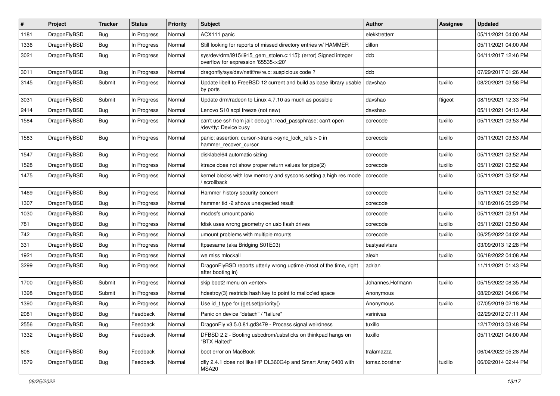| #    | Project      | <b>Tracker</b> | <b>Status</b> | <b>Priority</b> | Subject                                                                                                | <b>Author</b>    | Assignee | <b>Updated</b>      |
|------|--------------|----------------|---------------|-----------------|--------------------------------------------------------------------------------------------------------|------------------|----------|---------------------|
| 1181 | DragonFlyBSD | <b>Bug</b>     | In Progress   | Normal          | ACX111 panic                                                                                           | elekktretterr    |          | 05/11/2021 04:00 AM |
| 1336 | DragonFlyBSD | Bug            | In Progress   | Normal          | Still looking for reports of missed directory entries w/ HAMMER                                        | dillon           |          | 05/11/2021 04:00 AM |
| 3021 | DragonFlyBSD | <b>Bug</b>     | In Progress   | Normal          | sys/dev/drm/i915/i915_gem_stolen.c:115]: (error) Signed integer<br>overflow for expression '65535<<20' | dcb              |          | 04/11/2017 12:46 PM |
| 3011 | DragonFlyBSD | Bug            | In Progress   | Normal          | dragonfly/sys/dev/netif/re/re.c: suspicious code ?                                                     | dcb              |          | 07/29/2017 01:26 AM |
| 3145 | DragonFlyBSD | Submit         | In Progress   | Normal          | Update libelf to FreeBSD 12 current and build as base library usable<br>by ports                       | davshao          | tuxillo  | 08/20/2021 03:58 PM |
| 3031 | DragonFlyBSD | Submit         | In Progress   | Normal          | Update drm/radeon to Linux 4.7.10 as much as possible                                                  | davshao          | ftigeot  | 08/19/2021 12:33 PM |
| 2414 | DragonFlyBSD | <b>Bug</b>     | In Progress   | Normal          | Lenovo S10 acpi freeze (not new)                                                                       | davshao          |          | 05/11/2021 04:13 AM |
| 1584 | DragonFlyBSD | Bug            | In Progress   | Normal          | can't use ssh from jail: debug1: read_passphrase: can't open<br>/dev/tty: Device busy                  | corecode         | tuxillo  | 05/11/2021 03:53 AM |
| 1583 | DragonFlyBSD | Bug            | In Progress   | Normal          | panic: assertion: cursor->trans->sync_lock_refs > 0 in<br>hammer_recover_cursor                        | corecode         | tuxillo  | 05/11/2021 03:53 AM |
| 1547 | DragonFlyBSD | Bug            | In Progress   | Normal          | disklabel64 automatic sizing                                                                           | corecode         | tuxillo  | 05/11/2021 03:52 AM |
| 1528 | DragonFlyBSD | <b>Bug</b>     | In Progress   | Normal          | ktrace does not show proper return values for pipe(2)                                                  | corecode         | tuxillo  | 05/11/2021 03:52 AM |
| 1475 | DragonFlyBSD | Bug            | In Progress   | Normal          | kernel blocks with low memory and syscons setting a high res mode<br>/ scrollback                      | corecode         | tuxillo  | 05/11/2021 03:52 AM |
| 1469 | DragonFlyBSD | Bug            | In Progress   | Normal          | Hammer history security concern                                                                        | corecode         | tuxillo  | 05/11/2021 03:52 AM |
| 1307 | DragonFlyBSD | <b>Bug</b>     | In Progress   | Normal          | hammer tid -2 shows unexpected result                                                                  | corecode         |          | 10/18/2016 05:29 PM |
| 1030 | DragonFlyBSD | <b>Bug</b>     | In Progress   | Normal          | msdosfs umount panic                                                                                   | corecode         | tuxillo  | 05/11/2021 03:51 AM |
| 781  | DragonFlyBSD | Bug            | In Progress   | Normal          | fdisk uses wrong geometry on usb flash drives                                                          | corecode         | tuxillo  | 05/11/2021 03:50 AM |
| 742  | DragonFlyBSD | <b>Bug</b>     | In Progress   | Normal          | umount problems with multiple mounts                                                                   | corecode         | tuxillo  | 06/25/2022 04:02 AM |
| 331  | DragonFlyBSD | <b>Bug</b>     | In Progress   | Normal          | ftpsesame (aka Bridging S01E03)                                                                        | bastyaelvtars    |          | 03/09/2013 12:28 PM |
| 1921 | DragonFlyBSD | Bug            | In Progress   | Normal          | we miss mlockall                                                                                       | alexh            | tuxillo  | 06/18/2022 04:08 AM |
| 3299 | DragonFlyBSD | <b>Bug</b>     | In Progress   | Normal          | DragonFlyBSD reports utterly wrong uptime (most of the time, right<br>after booting in)                | adrian           |          | 11/11/2021 01:43 PM |
| 1700 | DragonFlyBSD | Submit         | In Progress   | Normal          | skip boot2 menu on <enter></enter>                                                                     | Johannes.Hofmann | tuxillo  | 05/15/2022 08:35 AM |
| 1398 | DragonFlyBSD | Submit         | In Progress   | Normal          | hdestroy(3) restricts hash key to point to malloc'ed space                                             | Anonymous        |          | 08/20/2021 04:06 PM |
| 1390 | DragonFlyBSD | Bug            | In Progress   | Normal          | Use id_t type for {get,set}priority()                                                                  | Anonymous        | tuxillo  | 07/05/2019 02:18 AM |
| 2081 | DragonFlyBSD | Bug            | Feedback      | Normal          | Panic on device "detach" / "failure"                                                                   | vsrinivas        |          | 02/29/2012 07:11 AM |
| 2556 | DragonFlyBSD | Bug            | Feedback      | Normal          | DragonFly v3.5.0.81.gd3479 - Process signal weirdness                                                  | tuxillo          |          | 12/17/2013 03:48 PM |
| 1332 | DragonFlyBSD | <b>Bug</b>     | Feedback      | Normal          | DFBSD 2.2 - Booting usbcdrom/usbsticks on thinkpad hangs on<br>"BTX Halted"                            | tuxillo          |          | 05/11/2021 04:00 AM |
| 806  | DragonFlyBSD | <b>Bug</b>     | Feedback      | Normal          | boot error on MacBook                                                                                  | tralamazza       |          | 06/04/2022 05:28 AM |
| 1579 | DragonFlyBSD | <b>Bug</b>     | Feedback      | Normal          | dfly 2.4.1 does not like HP DL360G4p and Smart Array 6400 with<br>MSA20                                | tomaz.borstnar   | tuxillo  | 06/02/2014 02:44 PM |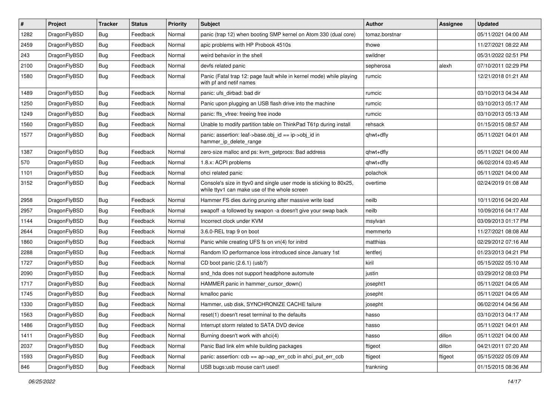| $\vert$ # | Project      | <b>Tracker</b> | <b>Status</b> | <b>Priority</b> | Subject                                                                                                            | Author         | Assignee | <b>Updated</b>      |
|-----------|--------------|----------------|---------------|-----------------|--------------------------------------------------------------------------------------------------------------------|----------------|----------|---------------------|
| 1282      | DragonFlyBSD | Bug            | Feedback      | Normal          | panic (trap 12) when booting SMP kernel on Atom 330 (dual core)                                                    | tomaz.borstnar |          | 05/11/2021 04:00 AM |
| 2459      | DragonFlyBSD | <b>Bug</b>     | Feedback      | Normal          | apic problems with HP Probook 4510s                                                                                | thowe          |          | 11/27/2021 08:22 AM |
| 243       | DragonFlyBSD | <b>Bug</b>     | Feedback      | Normal          | weird behavior in the shell                                                                                        | swildner       |          | 05/31/2022 02:51 PM |
| 2100      | DragonFlyBSD | Bug            | Feedback      | Normal          | devfs related panic                                                                                                | sepherosa      | alexh    | 07/10/2011 02:29 PM |
| 1580      | DragonFlyBSD | Bug            | Feedback      | Normal          | Panic (Fatal trap 12: page fault while in kernel mode) while playing<br>with pf and netif names                    | rumcic         |          | 12/21/2018 01:21 AM |
| 1489      | DragonFlyBSD | Bug            | Feedback      | Normal          | panic: ufs dirbad: bad dir                                                                                         | rumcic         |          | 03/10/2013 04:34 AM |
| 1250      | DragonFlyBSD | <b>Bug</b>     | Feedback      | Normal          | Panic upon plugging an USB flash drive into the machine                                                            | rumcic         |          | 03/10/2013 05:17 AM |
| 1249      | DragonFlyBSD | <b>Bug</b>     | Feedback      | Normal          | panic: ffs vfree: freeing free inode                                                                               | rumcic         |          | 03/10/2013 05:13 AM |
| 1560      | DragonFlyBSD | <b>Bug</b>     | Feedback      | Normal          | Unable to modify partition table on ThinkPad T61p during install                                                   | rehsack        |          | 01/15/2015 08:57 AM |
| 1577      | DragonFlyBSD | <b>Bug</b>     | Feedback      | Normal          | panic: assertion: leaf->base.obj_id == ip->obj_id in<br>hammer_ip_delete_range                                     | qhwt+dfly      |          | 05/11/2021 04:01 AM |
| 1387      | DragonFlyBSD | <b>Bug</b>     | Feedback      | Normal          | zero-size malloc and ps: kvm_getprocs: Bad address                                                                 | qhwt+dfly      |          | 05/11/2021 04:00 AM |
| 570       | DragonFlyBSD | <b>Bug</b>     | Feedback      | Normal          | 1.8.x: ACPI problems                                                                                               | qhwt+dfly      |          | 06/02/2014 03:45 AM |
| 1101      | DragonFlyBSD | Bug            | Feedback      | Normal          | ohci related panic                                                                                                 | polachok       |          | 05/11/2021 04:00 AM |
| 3152      | DragonFlyBSD | Bug            | Feedback      | Normal          | Console's size in ttyv0 and single user mode is sticking to 80x25,<br>while ttyv1 can make use of the whole screen | overtime       |          | 02/24/2019 01:08 AM |
| 2958      | DragonFlyBSD | <b>Bug</b>     | Feedback      | Normal          | Hammer FS dies during pruning after massive write load                                                             | neilb          |          | 10/11/2016 04:20 AM |
| 2957      | DragonFlyBSD | Bug            | Feedback      | Normal          | swapoff -a followed by swapon -a doesn't give your swap back                                                       | neilb          |          | 10/09/2016 04:17 AM |
| 1144      | DragonFlyBSD | Bug            | Feedback      | Normal          | Incorrect clock under KVM                                                                                          | msylvan        |          | 03/09/2013 01:17 PM |
| 2644      | DragonFlyBSD | <b>Bug</b>     | Feedback      | Normal          | 3.6.0-REL trap 9 on boot                                                                                           | memmerto       |          | 11/27/2021 08:08 AM |
| 1860      | DragonFlyBSD | <b>Bug</b>     | Feedback      | Normal          | Panic while creating UFS fs on vn(4) for initrd                                                                    | matthias       |          | 02/29/2012 07:16 AM |
| 2288      | DragonFlyBSD | Bug            | Feedback      | Normal          | Random IO performance loss introduced since January 1st                                                            | lentferj       |          | 01/23/2013 04:21 PM |
| 1727      | DragonFlyBSD | <b>Bug</b>     | Feedback      | Normal          | CD boot panic (2.6.1) (usb?)                                                                                       | kiril          |          | 05/15/2022 05:10 AM |
| 2090      | DragonFlyBSD | Bug            | Feedback      | Normal          | snd_hda does not support headphone automute                                                                        | justin         |          | 03/29/2012 08:03 PM |
| 1717      | DragonFlyBSD | Bug            | Feedback      | Normal          | HAMMER panic in hammer_cursor_down()                                                                               | josepht1       |          | 05/11/2021 04:05 AM |
| 1745      | DragonFlyBSD | <b>Bug</b>     | Feedback      | Normal          | kmalloc panic                                                                                                      | josepht        |          | 05/11/2021 04:05 AM |
| 1330      | DragonFlyBSD | Bug            | Feedback      | Normal          | Hammer, usb disk, SYNCHRONIZE CACHE failure                                                                        | josepht        |          | 06/02/2014 04:56 AM |
| 1563      | DragonFlyBSD | Bug            | Feedback      | Normal          | reset(1) doesn't reset terminal to the defaults                                                                    | hasso          |          | 03/10/2013 04:17 AM |
| 1486      | DragonFlyBSD | Bug            | Feedback      | Normal          | Interrupt storm related to SATA DVD device                                                                         | hasso          |          | 05/11/2021 04:01 AM |
| 1411      | DragonFlyBSD | Bug            | Feedback      | Normal          | Burning doesn't work with ahci(4)                                                                                  | hasso          | dillon   | 05/11/2021 04:00 AM |
| 2037      | DragonFlyBSD | Bug            | Feedback      | Normal          | Panic Bad link elm while building packages                                                                         | ftigeot        | dillon   | 04/21/2011 07:20 AM |
| 1593      | DragonFlyBSD | Bug            | Feedback      | Normal          | panic: assertion: ccb == ap->ap_err_ccb in ahci_put_err_ccb                                                        | ftigeot        | ftigeot  | 05/15/2022 05:09 AM |
| 846       | DragonFlyBSD | Bug            | Feedback      | Normal          | USB bugs:usb mouse can't used!                                                                                     | frankning      |          | 01/15/2015 08:36 AM |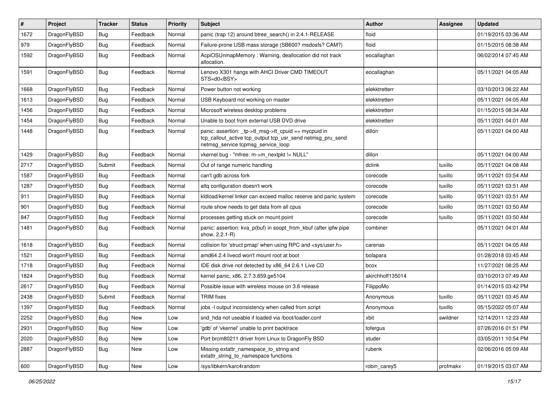| $\sharp$ | Project      | <b>Tracker</b> | <b>Status</b> | <b>Priority</b> | <b>Subject</b>                                                                                                                                            | <b>Author</b>    | Assignee | <b>Updated</b>      |
|----------|--------------|----------------|---------------|-----------------|-----------------------------------------------------------------------------------------------------------------------------------------------------------|------------------|----------|---------------------|
| 1672     | DragonFlyBSD | <b>Bug</b>     | Feedback      | Normal          | panic (trap 12) around btree_search() in 2.4.1-RELEASE                                                                                                    | floid            |          | 01/19/2015 03:36 AM |
| 979      | DragonFlyBSD | Bug            | Feedback      | Normal          | Failure-prone USB mass storage (SB600? msdosfs? CAM?)                                                                                                     | floid            |          | 01/15/2015 08:38 AM |
| 1592     | DragonFlyBSD | <b>Bug</b>     | Feedback      | Normal          | AcpiOSUnmapMemory: Warning, deallocation did not track<br>allocation.                                                                                     | eocallaghan      |          | 06/02/2014 07:45 AM |
| 1591     | DragonFlyBSD | <b>Bug</b>     | Feedback      | Normal          | Lenovo X301 hangs with AHCI Driver CMD TIMEOUT<br>STS=d0 <bsy></bsy>                                                                                      | eocallaghan      |          | 05/11/2021 04:05 AM |
| 1668     | DragonFlyBSD | Bug            | Feedback      | Normal          | Power button not working                                                                                                                                  | elekktretterr    |          | 03/10/2013 06:22 AM |
| 1613     | DragonFlyBSD | <b>Bug</b>     | Feedback      | Normal          | USB Keyboard not working on master                                                                                                                        | elekktretterr    |          | 05/11/2021 04:05 AM |
| 1456     | DragonFlyBSD | <b>Bug</b>     | Feedback      | Normal          | Microsoft wireless desktop problems                                                                                                                       | elekktretterr    |          | 01/15/2015 08:34 AM |
| 1454     | DragonFlyBSD | Bug            | Feedback      | Normal          | Unable to boot from external USB DVD drive                                                                                                                | elekktretterr    |          | 05/11/2021 04:01 AM |
| 1448     | DragonFlyBSD | Bug            | Feedback      | Normal          | panic: assertion: _tp->tt_msg->tt_cpuid == mycpuid in<br>tcp_callout_active tcp_output tcp_usr_send netmsg_pru_send<br>netmsg_service tcpmsg_service_loop | dillon           |          | 05/11/2021 04:00 AM |
| 1429     | DragonFlyBSD | Bug            | Feedback      | Normal          | vkernel bug - "mfree: m->m_nextpkt != NULL"                                                                                                               | dillon           |          | 05/11/2021 04:00 AM |
| 2717     | DragonFlyBSD | Submit         | Feedback      | Normal          | Out of range numeric handling                                                                                                                             | dclink           | tuxillo  | 05/11/2021 04:08 AM |
| 1587     | DragonFlyBSD | <b>Bug</b>     | Feedback      | Normal          | can't gdb across fork                                                                                                                                     | corecode         | tuxillo  | 05/11/2021 03:54 AM |
| 1287     | DragonFlyBSD | <b>Bug</b>     | Feedback      | Normal          | altg configuration doesn't work                                                                                                                           | corecode         | tuxillo  | 05/11/2021 03:51 AM |
| 911      | DragonFlyBSD | Bug            | Feedback      | Normal          | kldload/kernel linker can exceed malloc reserve and panic system                                                                                          | corecode         | tuxillo  | 05/11/2021 03:51 AM |
| 901      | DragonFlyBSD | <b>Bug</b>     | Feedback      | Normal          | route show needs to get data from all cpus                                                                                                                | corecode         | tuxillo  | 05/11/2021 03:50 AM |
| 847      | DragonFlyBSD | <b>Bug</b>     | Feedback      | Normal          | processes getting stuck on mount point                                                                                                                    | corecode         | tuxillo  | 05/11/2021 03:50 AM |
| 1481     | DragonFlyBSD | Bug            | Feedback      | Normal          | panic: assertion: kva_p(buf) in soopt_from_kbuf (after ipfw pipe<br>show, 2.2.1-R)                                                                        | combiner         |          | 05/11/2021 04:01 AM |
| 1618     | DragonFlyBSD | Bug            | Feedback      | Normal          | collision for 'struct pmap' when using RPC and <sys user.h=""></sys>                                                                                      | carenas          |          | 05/11/2021 04:05 AM |
| 1521     | DragonFlyBSD | <b>Bug</b>     | Feedback      | Normal          | amd64 2.4 livecd won't mount root at boot                                                                                                                 | bolapara         |          | 01/28/2018 03:45 AM |
| 1718     | DragonFlyBSD | <b>Bug</b>     | Feedback      | Normal          | IDE disk drive not detected by x86 64 2.6.1 Live CD                                                                                                       | bcox             |          | 11/27/2021 08:25 AM |
| 1824     | DragonFlyBSD | <b>Bug</b>     | Feedback      | Normal          | kernel panic, x86, 2.7.3.859.ge5104                                                                                                                       | akirchhoff135014 |          | 03/10/2013 07:49 AM |
| 2617     | DragonFlyBSD | <b>Bug</b>     | Feedback      | Normal          | Possible issue with wireless mouse on 3.6 release                                                                                                         | FilippoMo        |          | 01/14/2015 03:42 PM |
| 2438     | DragonFlyBSD | Submit         | Feedback      | Normal          | <b>TRIM</b> fixes                                                                                                                                         | Anonymous        | tuxillo  | 05/11/2021 03:45 AM |
| 1397     | DragonFlyBSD | <b>Bug</b>     | Feedback      | Normal          | jobs -I output inconsistency when called from script                                                                                                      | Anonymous        | tuxillo  | 05/15/2022 05:07 AM |
| 2252     | DragonFlyBSD | <b>Bug</b>     | New           | LOW             | snd_hda not useable if loaded via /boot/loader.conf                                                                                                       | xbit             | swildner | 12/14/2011 12:23 AM |
| 2931     | DragonFlyBSD | <b>Bug</b>     | <b>New</b>    | Low             | 'gdb' of 'vkernel' unable to print backtrace                                                                                                              | tofergus         |          | 07/26/2016 01:51 PM |
| 2020     | DragonFlyBSD | <b>Bug</b>     | <b>New</b>    | Low             | Port brcm80211 driver from Linux to DragonFly BSD                                                                                                         | studer           |          | 03/05/2011 10:54 PM |
| 2887     | DragonFlyBSD | Bug            | New           | Low             | Missing extattr namespace to string and<br>extattr_string_to_namespace functions                                                                          | rubenk           |          | 02/06/2016 05:09 AM |
| 600      | DragonFlyBSD | Bug            | New           | Low             | /sys/libkern/karc4random                                                                                                                                  | robin_carey5     | profmakx | 01/19/2015 03:07 AM |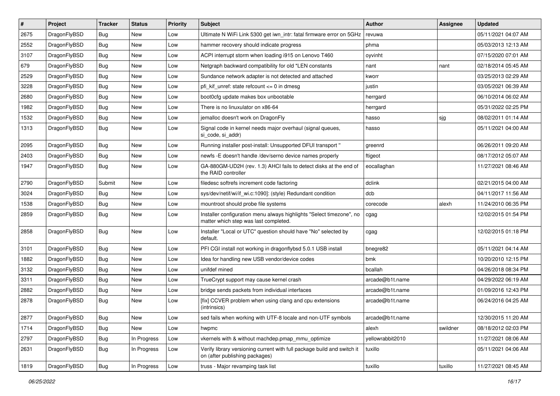| $\vert$ # | Project      | <b>Tracker</b> | <b>Status</b> | <b>Priority</b> | Subject                                                                                                       | <b>Author</b>    | Assignee | <b>Updated</b>      |
|-----------|--------------|----------------|---------------|-----------------|---------------------------------------------------------------------------------------------------------------|------------------|----------|---------------------|
| 2675      | DragonFlyBSD | Bug            | <b>New</b>    | Low             | Ultimate N WiFi Link 5300 get iwn_intr: fatal firmware error on 5GHz                                          | revuwa           |          | 05/11/2021 04:07 AM |
| 2552      | DragonFlyBSD | <b>Bug</b>     | <b>New</b>    | Low             | hammer recovery should indicate progress                                                                      | phma             |          | 05/03/2013 12:13 AM |
| 3107      | DragonFlyBSD | <b>Bug</b>     | <b>New</b>    | Low             | ACPI interrupt storm when loading i915 on Lenovo T460                                                         | oyvinht          |          | 07/15/2020 07:01 AM |
| 679       | DragonFlyBSD | <b>Bug</b>     | <b>New</b>    | Low             | Netgraph backward compatibility for old *LEN constants                                                        | nant             | nant     | 02/18/2014 05:45 AM |
| 2529      | DragonFlyBSD | <b>Bug</b>     | <b>New</b>    | Low             | Sundance network adapter is not detected and attached                                                         | kworr            |          | 03/25/2013 02:29 AM |
| 3228      | DragonFlyBSD | <b>Bug</b>     | <b>New</b>    | Low             | pfi kif unref: state refcount $\leq 0$ in dmesg                                                               | justin           |          | 03/05/2021 06:39 AM |
| 2680      | DragonFlyBSD | <b>Bug</b>     | <b>New</b>    | Low             | boot0cfg update makes box unbootable                                                                          | herrgard         |          | 06/10/2014 06:02 AM |
| 1982      | DragonFlyBSD | <b>Bug</b>     | New           | Low             | There is no linuxulator on x86-64                                                                             | herrgard         |          | 05/31/2022 02:25 PM |
| 1532      | DragonFlyBSD | <b>Bug</b>     | <b>New</b>    | Low             | jemalloc doesn't work on DragonFly                                                                            | hasso            | sjg      | 08/02/2011 01:14 AM |
| 1313      | DragonFlyBSD | Bug            | <b>New</b>    | Low             | Signal code in kernel needs major overhaul (signal queues,<br>si_code, si_addr)                               | hasso            |          | 05/11/2021 04:00 AM |
| 2095      | DragonFlyBSD | <b>Bug</b>     | <b>New</b>    | Low             | Running installer post-install: Unsupported DFUI transport "                                                  | greenrd          |          | 06/26/2011 09:20 AM |
| 2403      | DragonFlyBSD | <b>Bug</b>     | <b>New</b>    | Low             | newfs -E doesn't handle /dev/serno device names properly                                                      | ftigeot          |          | 08/17/2012 05:07 AM |
| 1947      | DragonFlyBSD | <b>Bug</b>     | New           | Low             | GA-880GM-UD2H (rev. 1.3) AHCI fails to detect disks at the end of<br>the RAID controller                      | eocallaghan      |          | 11/27/2021 08:46 AM |
| 2790      | DragonFlyBSD | Submit         | <b>New</b>    | Low             | filedesc softrefs increment code factoring                                                                    | dclink           |          | 02/21/2015 04:00 AM |
| 3024      | DragonFlyBSD | <b>Bug</b>     | <b>New</b>    | Low             | sys/dev/netif/wi/if_wi.c:1090]: (style) Redundant condition                                                   | dcb              |          | 04/11/2017 11:56 AM |
| 1538      | DragonFlyBSD | <b>Bug</b>     | <b>New</b>    | Low             | mountroot should probe file systems                                                                           | corecode         | alexh    | 11/24/2010 06:35 PM |
| 2859      | DragonFlyBSD | <b>Bug</b>     | <b>New</b>    | Low             | Installer configuration menu always highlights "Select timezone", no<br>matter which step was last completed. | cgag             |          | 12/02/2015 01:54 PM |
| 2858      | DragonFlyBSD | <b>Bug</b>     | New           | Low             | Installer "Local or UTC" question should have "No" selected by<br>default.                                    | cgag             |          | 12/02/2015 01:18 PM |
| 3101      | DragonFlyBSD | <b>Bug</b>     | <b>New</b>    | Low             | PFI CGI install not working in dragonflybsd 5.0.1 USB install                                                 | bnegre82         |          | 05/11/2021 04:14 AM |
| 1882      | DragonFlyBSD | <b>Bug</b>     | <b>New</b>    | Low             | Idea for handling new USB vendor/device codes                                                                 | bmk              |          | 10/20/2010 12:15 PM |
| 3132      | DragonFlyBSD | <b>Bug</b>     | <b>New</b>    | Low             | unifdef mined                                                                                                 | bcallah          |          | 04/26/2018 08:34 PM |
| 3311      | DragonFlyBSD | <b>Bug</b>     | <b>New</b>    | Low             | TrueCrypt support may cause kernel crash                                                                      | arcade@b1t.name  |          | 04/29/2022 06:19 AM |
| 2882      | DragonFlyBSD | <b>Bug</b>     | <b>New</b>    | Low             | bridge sends packets from individual interfaces                                                               | arcade@b1t.name  |          | 01/09/2016 12:43 PM |
| 2878      | DragonFlyBSD | <b>Bug</b>     | New           | Low             | [fix] CCVER problem when using clang and cpu extensions<br>(intrinsics)                                       | arcade@b1t.name  |          | 06/24/2016 04:25 AM |
| 2877      | DragonFlyBSD | Bug            | New           | Low             | sed fails when working with UTF-8 locale and non-UTF symbols                                                  | arcade@b1t.name  |          | 12/30/2015 11:20 AM |
| 1714      | DragonFlyBSD | Bug            | New           | Low             | hwpmc                                                                                                         | alexh            | swildner | 08/18/2012 02:03 PM |
| 2797      | DragonFlyBSD | <b>Bug</b>     | In Progress   | Low             | vkernels with & without machdep.pmap mmu optimize                                                             | yellowrabbit2010 |          | 11/27/2021 08:06 AM |
| 2631      | DragonFlyBSD | <b>Bug</b>     | In Progress   | Low             | Verify library versioning current with full package build and switch it<br>on (after publishing packages)     | tuxillo          |          | 05/11/2021 04:06 AM |
| 1819      | DragonFlyBSD | <b>Bug</b>     | In Progress   | Low             | truss - Major revamping task list                                                                             | tuxillo          | tuxillo  | 11/27/2021 08:45 AM |